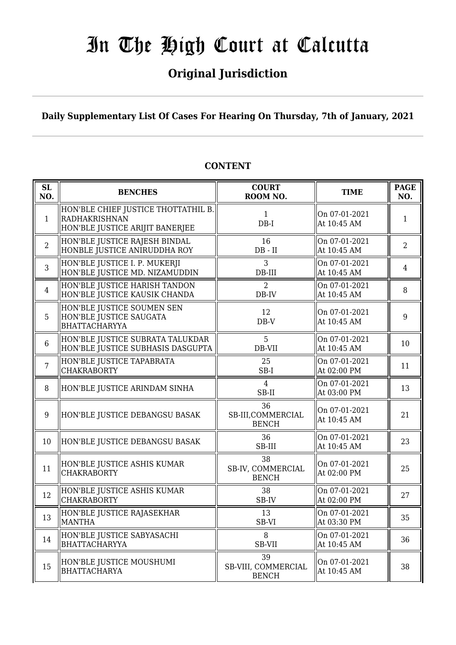# **Original Jurisdiction**

# **Daily Supplementary List Of Cases For Hearing On Thursday, 7th of January, 2021**

# **CONTENT**

| <b>SL</b><br>NO. | <b>BENCHES</b>                                                                                 | <b>COURT</b><br>ROOM NO.                  | <b>TIME</b>                  | <b>PAGE</b><br>NO. |
|------------------|------------------------------------------------------------------------------------------------|-------------------------------------------|------------------------------|--------------------|
| $\mathbf{1}$     | HON'BLE CHIEF JUSTICE THOTTATHIL B.<br><b>RADHAKRISHNAN</b><br>HON'BLE JUSTICE ARIJIT BANERJEE | 1<br>$DB-I$                               | On 07-01-2021<br>At 10:45 AM | $\mathbf{1}$       |
| $\overline{2}$   | HON'BLE JUSTICE RAJESH BINDAL<br>HONBLE JUSTICE ANIRUDDHA ROY                                  | 16<br>$DB$ - $II$                         | On 07-01-2021<br>At 10:45 AM | $\overline{2}$     |
| 3                | HON'BLE JUSTICE I. P. MUKERJI<br>HON'BLE JUSTICE MD. NIZAMUDDIN                                | 3<br>DB-III                               | On 07-01-2021<br>At 10:45 AM | $\overline{4}$     |
| $\overline{4}$   | HON'BLE JUSTICE HARISH TANDON<br>HON'BLE JUSTICE KAUSIK CHANDA                                 | 2<br>DB-IV                                | On 07-01-2021<br>At 10:45 AM | 8                  |
| 5                | HON'BLE JUSTICE SOUMEN SEN<br>HON'BLE JUSTICE SAUGATA<br><b>BHATTACHARYYA</b>                  | 12<br>$DB-V$                              | On 07-01-2021<br>At 10:45 AM | 9                  |
| $6\phantom{1}$   | HON'BLE JUSTICE SUBRATA TALUKDAR<br>HON'BLE JUSTICE SUBHASIS DASGUPTA                          | 5<br>DB-VII                               | On 07-01-2021<br>At 10:45 AM | 10                 |
| $\overline{7}$   | HON'BLE JUSTICE TAPABRATA<br><b>CHAKRABORTY</b>                                                | 25<br>SB-I                                | On 07-01-2021<br>At 02:00 PM | 11                 |
| 8                | HON'BLE JUSTICE ARINDAM SINHA                                                                  | $\overline{4}$<br>SB-II                   | On 07-01-2021<br>At 03:00 PM | 13                 |
| 9                | HON'BLE JUSTICE DEBANGSU BASAK                                                                 | 36<br>SB-III, COMMERCIAL<br><b>BENCH</b>  | On 07-01-2021<br>At 10:45 AM | 21                 |
| 10               | HON'BLE JUSTICE DEBANGSU BASAK                                                                 | 36<br>SB-III                              | On 07-01-2021<br>At 10:45 AM | 23                 |
| 11               | HON'BLE JUSTICE ASHIS KUMAR<br><b>CHAKRABORTY</b>                                              | 38<br>SB-IV, COMMERCIAL<br><b>BENCH</b>   | On 07-01-2021<br>At 02:00 PM | 25                 |
| 12               | HON'BLE JUSTICE ASHIS KUMAR<br><b>CHAKRABORTY</b>                                              | 38<br>SB-IV                               | On 07-01-2021<br>At 02:00 PM | 27                 |
| 13               | HON'BLE JUSTICE RAJASEKHAR<br><b>MANTHA</b>                                                    | 13<br>SB-VI                               | On 07-01-2021<br>At 03:30 PM | 35                 |
| 14               | HON'BLE JUSTICE SABYASACHI<br><b>BHATTACHARYYA</b>                                             | 8<br>SB-VII                               | On 07-01-2021<br>At 10:45 AM | 36                 |
| 15               | HON'BLE JUSTICE MOUSHUMI<br><b>BHATTACHARYA</b>                                                | 39<br>SB-VIII, COMMERCIAL<br><b>BENCH</b> | On 07-01-2021<br>At 10:45 AM | 38                 |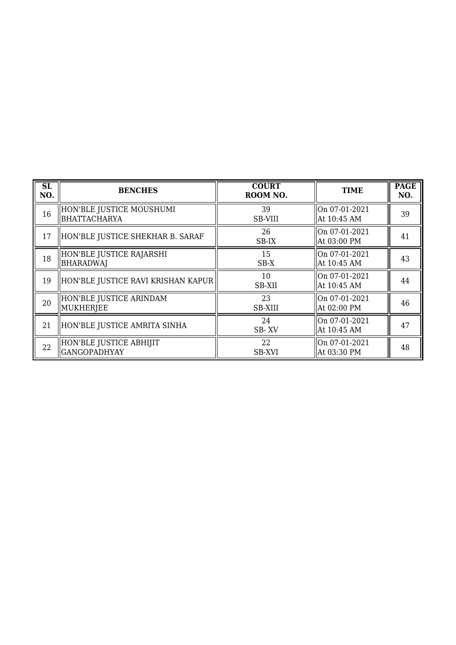| <b>SL</b><br>NO. | <b>BENCHES</b>                                  | <b>COURT</b><br>ROOM NO. | <b>TIME</b>                    | <b>PAGE</b><br>NO. |
|------------------|-------------------------------------------------|--------------------------|--------------------------------|--------------------|
| 16               | HON'BLE JUSTICE MOUSHUMI<br><b>BHATTACHARYA</b> | 39<br>SB-VIII            | On 07-01-2021<br>At 10:45 AM   | 39                 |
| 17               | HON'BLE JUSTICE SHEKHAR B. SARAF                | 26<br>SB-IX              | On 07-01-2021<br>  At 03:00 PM | 41                 |
| 18               | HON'BLE JUSTICE RAJARSHI<br>BHARADWAJ           | 15<br>$SB-X$             | On 07-01-2021<br>At 10:45 AM   | 43                 |
| 19               | HON'BLE JUSTICE RAVI KRISHAN KAPUR              | 10<br>SB-XII             | On 07-01-2021<br>At 10:45 AM   | 44                 |
| 20               | HON'BLE JUSTICE ARINDAM<br>MUKHERJEE            | 23<br><b>SB-XIII</b>     | On 07-01-2021<br>  At 02:00 PM | 46                 |
| 21               | HON'BLE JUSTICE AMRITA SINHA                    | 24<br>SB-XV              | On 07-01-2021<br>At 10:45 AM   | 47                 |
| 22               | HON'BLE JUSTICE ABHIJIT<br><b>GANGOPADHYAY</b>  | 22<br>SB-XVI             | On 07-01-2021<br>  At 03:30 PM | 48                 |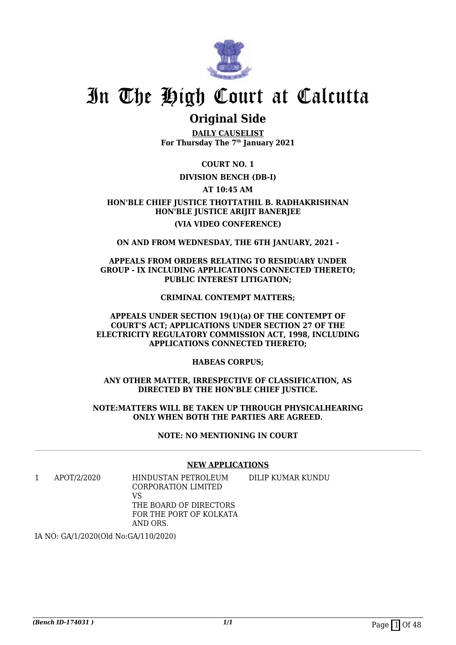

# **Original Side**

**DAILY CAUSELIST For Thursday The 7th January 2021**

**COURT NO. 1**

## **DIVISION BENCH (DB-I)**

## **AT 10:45 AM**

# **HON'BLE CHIEF JUSTICE THOTTATHIL B. RADHAKRISHNAN HON'BLE JUSTICE ARIJIT BANERJEE (VIA VIDEO CONFERENCE)**

**ON AND FROM WEDNESDAY, THE 6TH JANUARY, 2021 -**

### **APPEALS FROM ORDERS RELATING TO RESIDUARY UNDER GROUP - IX INCLUDING APPLICATIONS CONNECTED THERETO; PUBLIC INTEREST LITIGATION;**

### **CRIMINAL CONTEMPT MATTERS;**

### **APPEALS UNDER SECTION 19(1)(a) OF THE CONTEMPT OF COURT'S ACT; APPLICATIONS UNDER SECTION 27 OF THE ELECTRICITY REGULATORY COMMISSION ACT, 1998, INCLUDING APPLICATIONS CONNECTED THERETO;**

**HABEAS CORPUS;**

**ANY OTHER MATTER, IRRESPECTIVE OF CLASSIFICATION, AS DIRECTED BY THE HON'BLE CHIEF JUSTICE.**

**NOTE:MATTERS WILL BE TAKEN UP THROUGH PHYSICALHEARING ONLY WHEN BOTH THE PARTIES ARE AGREED.**

**NOTE: NO MENTIONING IN COURT**

### **NEW APPLICATIONS**

DILIP KUMAR KUNDU

1 APOT/2/2020 HINDUSTAN PETROLEUM CORPORATION LIMITED VS THE BOARD OF DIRECTORS FOR THE PORT OF KOLKATA AND ORS.

IA NO: GA/1/2020(Old No:GA/110/2020)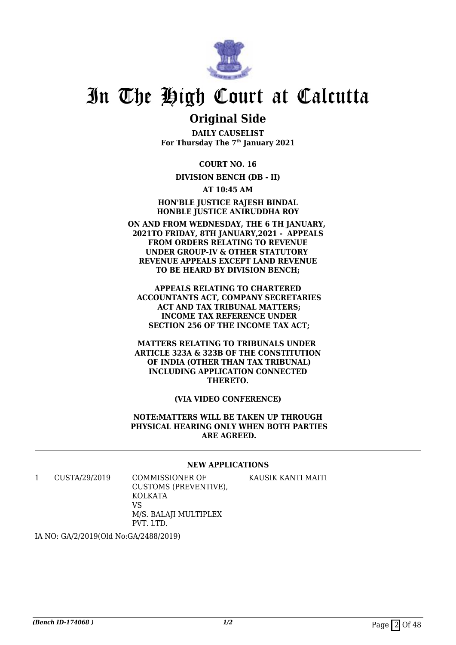

# **Original Side**

**DAILY CAUSELIST For Thursday The 7th January 2021**

**COURT NO. 16**

## **DIVISION BENCH (DB - II)**

**AT 10:45 AM**

**HON'BLE JUSTICE RAJESH BINDAL HONBLE JUSTICE ANIRUDDHA ROY**

**ON AND FROM WEDNESDAY, THE 6 TH JANUARY, 2021TO FRIDAY, 8TH JANUARY,2021 - APPEALS FROM ORDERS RELATING TO REVENUE UNDER GROUP-IV & OTHER STATUTORY REVENUE APPEALS EXCEPT LAND REVENUE TO BE HEARD BY DIVISION BENCH;**

**APPEALS RELATING TO CHARTERED ACCOUNTANTS ACT, COMPANY SECRETARIES ACT AND TAX TRIBUNAL MATTERS; INCOME TAX REFERENCE UNDER SECTION 256 OF THE INCOME TAX ACT;**

**MATTERS RELATING TO TRIBUNALS UNDER ARTICLE 323A & 323B OF THE CONSTITUTION OF INDIA (OTHER THAN TAX TRIBUNAL) INCLUDING APPLICATION CONNECTED THERETO.**

### **(VIA VIDEO CONFERENCE)**

**NOTE:MATTERS WILL BE TAKEN UP THROUGH PHYSICAL HEARING ONLY WHEN BOTH PARTIES ARE AGREED.**

#### **NEW APPLICATIONS**

KAUSIK KANTI MAITI

1 CUSTA/29/2019 COMMISSIONER OF

CUSTOMS (PREVENTIVE), KOLKATA VS M/S. BALAJI MULTIPLEX PVT. LTD.

IA NO: GA/2/2019(Old No:GA/2488/2019)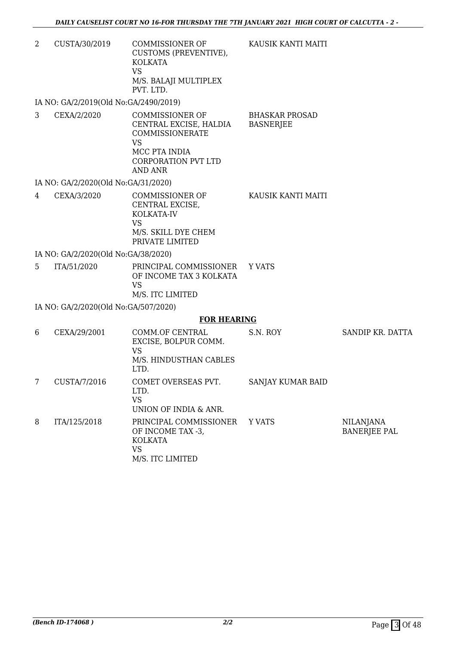KAUSIK KANTI MAITI

2 CUSTA/30/2019 COMMISSIONER OF CUSTOMS (PREVENTIVE), KOLKATA VS M/S. BALAJI MULTIPLEX PVT. LTD.

IA NO: GA/2/2019(Old No:GA/2490/2019)

3 CEXA/2/2020 COMMISSIONER OF CENTRAL EXCISE, HALDIA COMMISSIONERATE VS MCC PTA INDIA CORPORATION PVT LTD AND ANR BHASKAR PROSAD **BASNERIEE** 

IA NO: GA/2/2020(Old No:GA/31/2020)

4 CEXA/3/2020 COMMISSIONER OF CENTRAL EXCISE, KOLKATA-IV VS M/S. SKILL DYE CHEM PRIVATE LIMITED KAUSIK KANTI MAITI

IA NO: GA/2/2020(Old No:GA/38/2020)

5 ITA/51/2020 PRINCIPAL COMMISSIONER OF INCOME TAX 3 KOLKATA VS M/S. ITC LIMITED Y VATS

IA NO: GA/2/2020(Old No:GA/507/2020)

#### **FOR HEARING**

| 6 | CEXA/29/2001 | COMM.OF CENTRAL<br>EXCISE, BOLPUR COMM.<br>VS<br>M/S. HINDUSTHAN CABLES<br>LTD.  | S.N. ROY          | SANDIP KR. DATTA                        |
|---|--------------|----------------------------------------------------------------------------------|-------------------|-----------------------------------------|
| 7 | CUSTA/7/2016 | COMET OVERSEAS PVT.<br>LTD.<br>VS<br>UNION OF INDIA & ANR.                       | SANJAY KUMAR BAID |                                         |
| 8 | ITA/125/2018 | PRINCIPAL COMMISSIONER<br>OF INCOME TAX -3,<br>KOLKATA<br>VS<br>M/S. ITC LIMITED | Y VATS            | <b>NILANJANA</b><br><b>BANERJEE PAL</b> |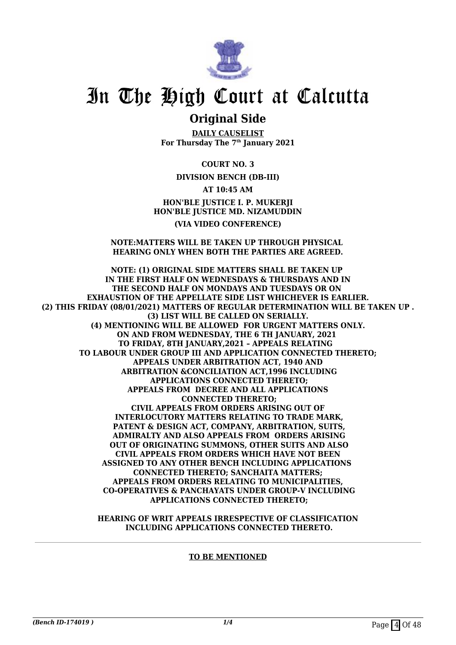

# **Original Side**

**DAILY CAUSELIST For Thursday The 7th January 2021**

**COURT NO. 3**

**DIVISION BENCH (DB-III)**

**AT 10:45 AM**

**HON'BLE JUSTICE I. P. MUKERJI HON'BLE JUSTICE MD. NIZAMUDDIN (VIA VIDEO CONFERENCE)**

#### **NOTE:MATTERS WILL BE TAKEN UP THROUGH PHYSICAL HEARING ONLY WHEN BOTH THE PARTIES ARE AGREED.**

**NOTE: (1) ORIGINAL SIDE MATTERS SHALL BE TAKEN UP IN THE FIRST HALF ON WEDNESDAYS & THURSDAYS AND IN THE SECOND HALF ON MONDAYS AND TUESDAYS OR ON EXHAUSTION OF THE APPELLATE SIDE LIST WHICHEVER IS EARLIER. (2) THIS FRIDAY (08/01/2021) MATTERS OF REGULAR DETERMINATION WILL BE TAKEN UP . (3) LIST WILL BE CALLED ON SERIALLY. (4) MENTIONING WILL BE ALLOWED FOR URGENT MATTERS ONLY. ON AND FROM WEDNESDAY, THE 6 TH JANUARY, 2021 TO FRIDAY, 8TH JANUARY,2021 – APPEALS RELATING TO LABOUR UNDER GROUP III AND APPLICATION CONNECTED THERETO; APPEALS UNDER ARBITRATION ACT, 1940 AND ARBITRATION &CONCILIATION ACT,1996 INCLUDING APPLICATIONS CONNECTED THERETO; APPEALS FROM DECREE AND ALL APPLICATIONS CONNECTED THERETO; CIVIL APPEALS FROM ORDERS ARISING OUT OF INTERLOCUTORY MATTERS RELATING TO TRADE MARK, PATENT & DESIGN ACT, COMPANY, ARBITRATION, SUITS, ADMIRALTY AND ALSO APPEALS FROM ORDERS ARISING OUT OF ORIGINATING SUMMONS, OTHER SUITS AND ALSO CIVIL APPEALS FROM ORDERS WHICH HAVE NOT BEEN ASSIGNED TO ANY OTHER BENCH INCLUDING APPLICATIONS CONNECTED THERETO; SANCHAITA MATTERS; APPEALS FROM ORDERS RELATING TO MUNICIPALITIES, CO-OPERATIVES & PANCHAYATS UNDER GROUP-V INCLUDING APPLICATIONS CONNECTED THERETO;**

> **HEARING OF WRIT APPEALS IRRESPECTIVE OF CLASSIFICATION INCLUDING APPLICATIONS CONNECTED THERETO.**

> > **TO BE MENTIONED**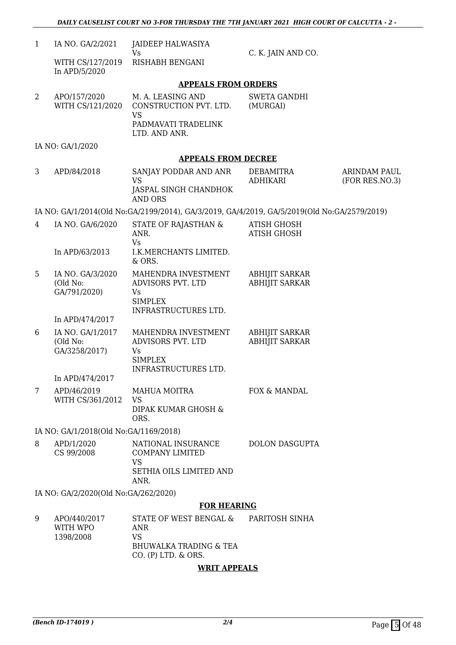| $\mathbf{1}$ | IA NO. GA/2/2021                                                 | JAIDEEP HALWASIYA                                                                                             |                                                |                                |
|--------------|------------------------------------------------------------------|---------------------------------------------------------------------------------------------------------------|------------------------------------------------|--------------------------------|
|              | WITH CS/127/2019<br>In APD/5/2020                                | <b>Vs</b><br>RISHABH BENGANI                                                                                  | C. K. JAIN AND CO.                             |                                |
|              |                                                                  | <b>APPEALS FROM ORDERS</b>                                                                                    |                                                |                                |
| 2            | APO/157/2020<br>WITH CS/121/2020                                 | M. A. LEASING AND<br>CONSTRUCTION PVT. LTD.<br><b>VS</b>                                                      | SWETA GANDHI<br>(MURGAI)                       |                                |
|              |                                                                  | PADMAVATI TRADELINK<br>LTD. AND ANR.                                                                          |                                                |                                |
|              | IA NO: GA/1/2020                                                 |                                                                                                               |                                                |                                |
|              |                                                                  | <b>APPEALS FROM DECREE</b>                                                                                    |                                                |                                |
| 3            | APD/84/2018                                                      | SANJAY PODDAR AND ANR<br><b>VS</b>                                                                            | DEBAMITRA<br><b>ADHIKARI</b>                   | ARINDAM PAUL<br>(FOR RES.NO.3) |
|              |                                                                  | JASPAL SINGH CHANDHOK<br>AND ORS                                                                              |                                                |                                |
|              |                                                                  | IA NO: GA/1/2014(Old No:GA/2199/2014), GA/3/2019, GA/4/2019, GA/5/2019(Old No:GA/2579/2019)                   |                                                |                                |
| 4            | IA NO. GA/6/2020                                                 | STATE OF RAJASTHAN &<br>ANR.                                                                                  | <b>ATISH GHOSH</b><br><b>ATISH GHOSH</b>       |                                |
|              | In APD/63/2013                                                   | <b>Vs</b><br>I.K.MERCHANTS LIMITED.<br>& ORS.                                                                 |                                                |                                |
| 5            | IA NO. GA/3/2020<br>(Old No:<br>GA/791/2020)                     | MAHENDRA INVESTMENT<br>ADVISORS PVT. LTD<br>Vs<br><b>SIMPLEX</b>                                              | <b>ABHIJIT SARKAR</b><br><b>ABHIJIT SARKAR</b> |                                |
|              | In APD/474/2017                                                  | INFRASTRUCTURES LTD.                                                                                          |                                                |                                |
| 6            | IA NO. GA/1/2017<br>(Old No:<br>GA/3258/2017)<br>In APD/474/2017 | MAHENDRA INVESTMENT<br>ADVISORS PVT. LTD<br><b>Vs</b><br><b>SIMPLEX</b><br>INFRASTRUCTURES LTD.               | <b>ABHIJIT SARKAR</b><br><b>ABHIJIT SARKAR</b> |                                |
| 7            | APD/46/2019                                                      | MAHUA MOITRA                                                                                                  | FOX & MANDAL                                   |                                |
|              | WITH CS/361/2012                                                 | <b>VS</b><br>DIPAK KUMAR GHOSH &<br>ORS.                                                                      |                                                |                                |
|              | IA NO: GA/1/2018(Old No:GA/1169/2018)                            |                                                                                                               |                                                |                                |
| 8            | APD/1/2020<br>CS 99/2008                                         | NATIONAL INSURANCE<br><b>COMPANY LIMITED</b><br><b>VS</b><br>SETHIA OILS LIMITED AND                          | <b>DOLON DASGUPTA</b>                          |                                |
|              | IA NO: GA/2/2020(Old No:GA/262/2020)                             | ANR.                                                                                                          |                                                |                                |
|              |                                                                  | <b>FOR HEARING</b>                                                                                            |                                                |                                |
| 9            | APO/440/2017<br>WITH WPO<br>1398/2008                            | STATE OF WEST BENGAL &<br><b>ANR</b><br><b>VS</b><br><b>BHUWALKA TRADING &amp; TEA</b><br>CO. (P) LTD. & ORS. | PARITOSH SINHA                                 |                                |

## **WRIT APPEALS**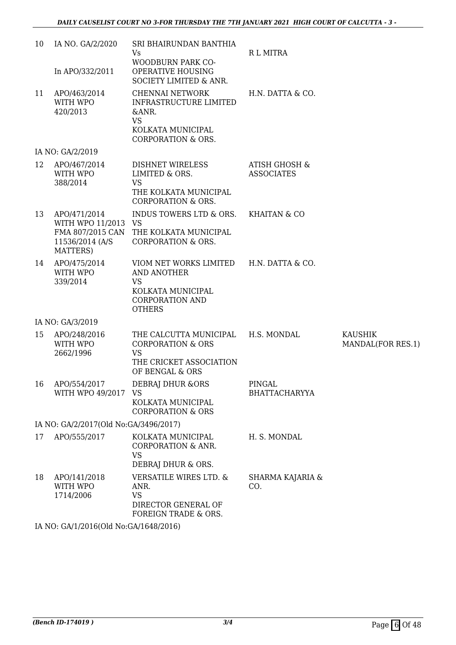| 10 | IA NO. GA/2/2020<br>In APO/332/2011                                                    | SRI BHAIRUNDAN BANTHIA<br>Vs<br>WOODBURN PARK CO-<br>OPERATIVE HOUSING<br>SOCIETY LIMITED & ANR.                                           | <b>RL MITRA</b>                               |                                     |
|----|----------------------------------------------------------------------------------------|--------------------------------------------------------------------------------------------------------------------------------------------|-----------------------------------------------|-------------------------------------|
| 11 | APO/463/2014<br>WITH WPO<br>420/2013                                                   | CHENNAI NETWORK<br>INFRASTRUCTURE LIMITED<br>&ANR.<br><b>VS</b><br>KOLKATA MUNICIPAL<br><b>CORPORATION &amp; ORS.</b>                      | H.N. DATTA & CO.                              |                                     |
|    | IA NO: GA/2/2019                                                                       |                                                                                                                                            |                                               |                                     |
| 12 | APO/467/2014<br>WITH WPO<br>388/2014                                                   | DISHNET WIRELESS<br>LIMITED & ORS.<br><b>VS</b><br>THE KOLKATA MUNICIPAL<br><b>CORPORATION &amp; ORS.</b>                                  | <b>ATISH GHOSH &amp;</b><br><b>ASSOCIATES</b> |                                     |
| 13 | APO/471/2014<br>WITH WPO 11/2013 VS<br>FMA 807/2015 CAN<br>11536/2014 (A/S<br>MATTERS) | INDUS TOWERS LTD & ORS.<br>THE KOLKATA MUNICIPAL<br><b>CORPORATION &amp; ORS.</b>                                                          | KHAITAN & CO                                  |                                     |
| 14 | APO/475/2014<br>WITH WPO<br>339/2014                                                   | VIOM NET WORKS LIMITED H.N. DATTA & CO.<br><b>AND ANOTHER</b><br><b>VS</b><br>KOLKATA MUNICIPAL<br><b>CORPORATION AND</b><br><b>OTHERS</b> |                                               |                                     |
|    | IA NO: GA/3/2019                                                                       |                                                                                                                                            |                                               |                                     |
| 15 | APO/248/2016<br>WITH WPO<br>2662/1996                                                  | THE CALCUTTA MUNICIPAL<br><b>CORPORATION &amp; ORS</b><br><b>VS</b><br>THE CRICKET ASSOCIATION<br>OF BENGAL & ORS                          | H.S. MONDAL                                   | <b>KAUSHIK</b><br>MANDAL(FOR RES.1) |
| 16 | APO/554/2017<br>WITH WPO 49/2017                                                       | <b>DEBRAJ DHUR &amp;ORS</b><br><b>VS</b><br>KOLKATA MUNICIPAL<br><b>CORPORATION &amp; ORS</b>                                              | PINGAL<br><b>BHATTACHARYYA</b>                |                                     |
|    | IA NO: GA/2/2017(Old No:GA/3496/2017)                                                  |                                                                                                                                            |                                               |                                     |
| 17 | APO/555/2017                                                                           | KOLKATA MUNICIPAL<br><b>CORPORATION &amp; ANR.</b><br><b>VS</b><br>DEBRAJ DHUR & ORS.                                                      | H. S. MONDAL                                  |                                     |
| 18 | APO/141/2018<br>WITH WPO<br>1714/2006                                                  | <b>VERSATILE WIRES LTD. &amp;</b><br>ANR.<br><b>VS</b><br>DIRECTOR GENERAL OF<br>FOREIGN TRADE & ORS.                                      | SHARMA KAJARIA &<br>CO.                       |                                     |

IA NO: GA/1/2016(Old No:GA/1648/2016)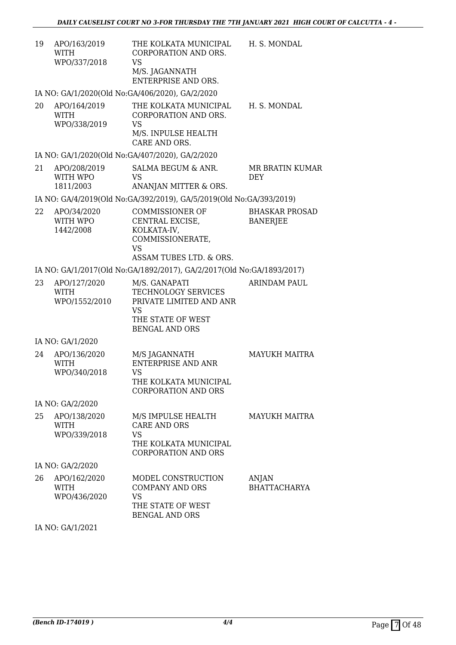| 19 | APO/163/2019<br>WITH | THE KOLKATA MUNICIPAL | H. S. MONDAL |
|----|----------------------|-----------------------|--------------|
|    |                      | CORPORATION AND ORS.  |              |
|    | WPO/337/2018         | VS                    |              |
|    |                      | M/S. JAGANNATH        |              |
|    |                      | ENTERPRISE AND ORS.   |              |

IA NO: GA/1/2020(Old No:GA/406/2020), GA/2/2020

20 APO/164/2019 WITH WPO/338/2019 THE KOLKATA MUNICIPAL CORPORATION AND ORS. VS M/S. INPULSE HEALTH CARE AND ORS. H. S. MONDAL

IA NO: GA/1/2020(Old No:GA/407/2020), GA/2/2020

| 21 | APO/208/2019 | SALMA BEGUM & ANR.    | MR BRATIN KUMAR |
|----|--------------|-----------------------|-----------------|
|    | WITH WPO     | VS.                   | <b>DEY</b>      |
|    | 1811/2003    | ANANJAN MITTER & ORS. |                 |

IA NO: GA/4/2019(Old No:GA/392/2019), GA/5/2019(Old No:GA/393/2019)

| 22 | APO/34/2020 | COMMISSIONER OF         | BHASKAR PROSAD |
|----|-------------|-------------------------|----------------|
|    | WITH WPO    | CENTRAL EXCISE.         | BANERJEE       |
|    | 1442/2008   | KOLKATA-IV.             |                |
|    |             | COMMISSIONERATE.        |                |
|    |             | VS                      |                |
|    |             | ASSAM TUBES LTD. & ORS. |                |

IA NO: GA/1/2017(Old No:GA/1892/2017), GA/2/2017(Old No:GA/1893/2017)

| 23 | APO/127/2020  | M/S. GANAPATI           | ARINDAM PAUL |
|----|---------------|-------------------------|--------------|
|    | WITH          | TECHNOLOGY SERVICES     |              |
|    | WPO/1552/2010 | PRIVATE LIMITED AND ANR |              |
|    |               | VS                      |              |
|    |               | THE STATE OF WEST       |              |
|    |               | BENGAL AND ORS          |              |

IA NO: GA/1/2020

| 24 | APO/136/2020<br>WITH<br>WPO/340/2018 | M/S JAGANNATH<br>ENTERPRISE AND ANR<br>VS<br>THE KOLKATA MUNICIPAL<br>CORPORATION AND ORS | MAYUKH MAITRA |
|----|--------------------------------------|-------------------------------------------------------------------------------------------|---------------|
|    |                                      |                                                                                           |               |

IA NO: GA/2/2020

| 25 | APO/138/2020<br>WITH<br>WPO/339/2018 | M/S IMPULSE HEALTH<br>CARE AND ORS<br>VS<br>THE KOLKATA MUNICIPAL | <b>MAYUKH MAITRA</b>         |
|----|--------------------------------------|-------------------------------------------------------------------|------------------------------|
|    | IA NO: GA/2/2020                     | CORPORATION AND ORS                                               |                              |
| 26 | APO/162/2020<br>WITH                 | MODEL CONSTRUCTION<br>COMPANY AND ORS                             | ANJAN<br><b>BHATTACHARYA</b> |

| WITH<br>WPO/436/2020 | COMPANY AND ORS<br>VS.              | <b>BHATTACHARYA</b> |
|----------------------|-------------------------------------|---------------------|
|                      | THE STATE OF WEST<br>BENGAL AND ORS |                     |

IA NO: GA/1/2021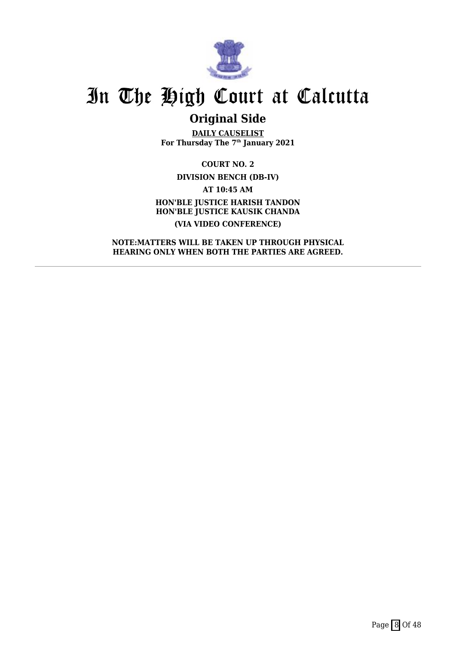

# **Original Side**

**DAILY CAUSELIST For Thursday The 7th January 2021**

**COURT NO. 2 DIVISION BENCH (DB-IV) AT 10:45 AM HON'BLE JUSTICE HARISH TANDON HON'BLE JUSTICE KAUSIK CHANDA (VIA VIDEO CONFERENCE)**

**NOTE:MATTERS WILL BE TAKEN UP THROUGH PHYSICAL HEARING ONLY WHEN BOTH THE PARTIES ARE AGREED.**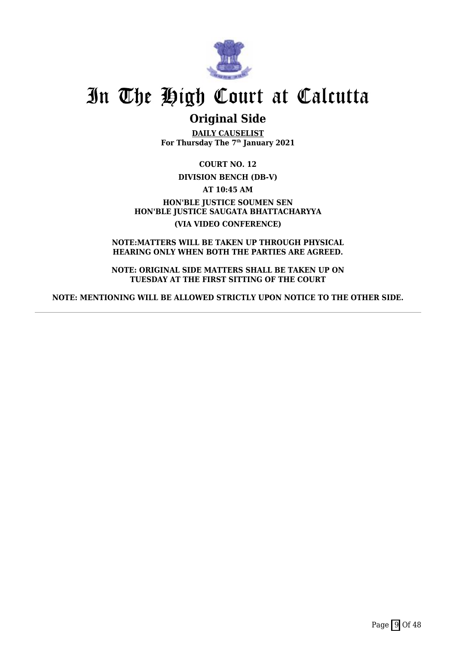

# **Original Side**

**DAILY CAUSELIST For Thursday The 7th January 2021**

**COURT NO. 12**

**DIVISION BENCH (DB-V)**

**AT 10:45 AM**

**HON'BLE JUSTICE SOUMEN SEN HON'BLE JUSTICE SAUGATA BHATTACHARYYA (VIA VIDEO CONFERENCE)**

**NOTE:MATTERS WILL BE TAKEN UP THROUGH PHYSICAL HEARING ONLY WHEN BOTH THE PARTIES ARE AGREED.**

**NOTE: ORIGINAL SIDE MATTERS SHALL BE TAKEN UP ON TUESDAY AT THE FIRST SITTING OF THE COURT**

**NOTE: MENTIONING WILL BE ALLOWED STRICTLY UPON NOTICE TO THE OTHER SIDE.**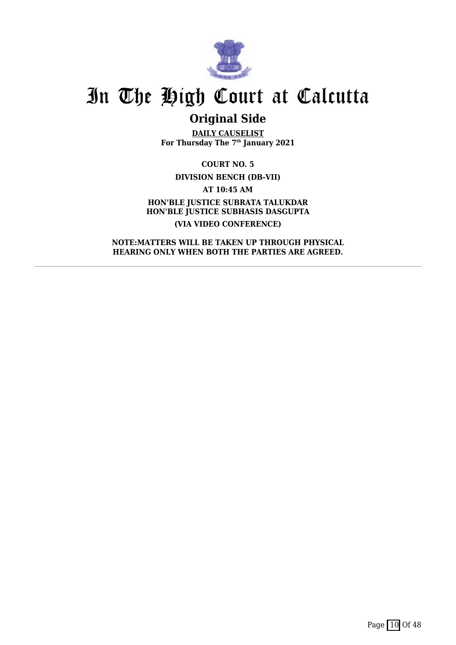

# **Original Side**

**DAILY CAUSELIST For Thursday The 7th January 2021**

**COURT NO. 5 DIVISION BENCH (DB-VII)**

**AT 10:45 AM**

**HON'BLE JUSTICE SUBRATA TALUKDAR HON'BLE JUSTICE SUBHASIS DASGUPTA (VIA VIDEO CONFERENCE)**

**NOTE:MATTERS WILL BE TAKEN UP THROUGH PHYSICAL HEARING ONLY WHEN BOTH THE PARTIES ARE AGREED.**

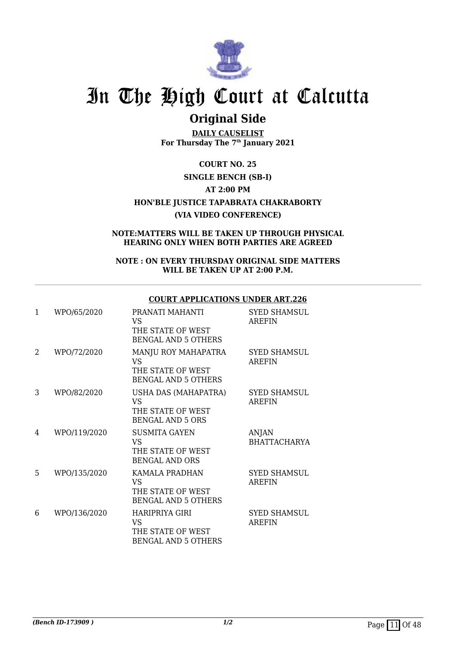

# **Original Side**

**DAILY CAUSELIST For Thursday The 7th January 2021**

**COURT NO. 25 SINGLE BENCH (SB-I) AT 2:00 PM HON'BLE JUSTICE TAPABRATA CHAKRABORTY (VIA VIDEO CONFERENCE)**

**NOTE:MATTERS WILL BE TAKEN UP THROUGH PHYSICAL HEARING ONLY WHEN BOTH PARTIES ARE AGREED**

### **NOTE : ON EVERY THURSDAY ORIGINAL SIDE MATTERS WILL BE TAKEN UP AT 2:00 P.M.**

## **COURT APPLICATIONS UNDER ART.226**

| $\mathbf{1}$ | WPO/65/2020  | PRANATI MAHANTI<br>VS<br>THE STATE OF WEST<br><b>BENGAL AND 5 OTHERS</b>     | <b>SYED SHAMSUL</b><br>AREFIN       |
|--------------|--------------|------------------------------------------------------------------------------|-------------------------------------|
| 2            | WPO/72/2020  | MANJU ROY MAHAPATRA<br>VS<br>THE STATE OF WEST<br><b>BENGAL AND 5 OTHERS</b> | <b>SYED SHAMSUL</b><br>AREFIN       |
| 3            | WPO/82/2020  | USHA DAS (MAHAPATRA)<br>VS<br>THE STATE OF WEST<br><b>BENGAL AND 5 ORS</b>   | <b>SYED SHAMSUL</b><br>AREFIN       |
| 4            | WPO/119/2020 | <b>SUSMITA GAYEN</b><br>VS.<br>THE STATE OF WEST<br><b>BENGAL AND ORS</b>    | <b>ANJAN</b><br><b>BHATTACHARYA</b> |
| 5            | WPO/135/2020 | KAMALA PRADHAN<br>VS.<br>THE STATE OF WEST<br><b>BENGAL AND 5 OTHERS</b>     | <b>SYED SHAMSUL</b><br>AREFIN       |
| 6            | WPO/136/2020 | HARIPRIYA GIRI<br>VS<br>THE STATE OF WEST<br>BENGAL AND 5 OTHERS             | <b>SYED SHAMSUL</b><br>AREFIN       |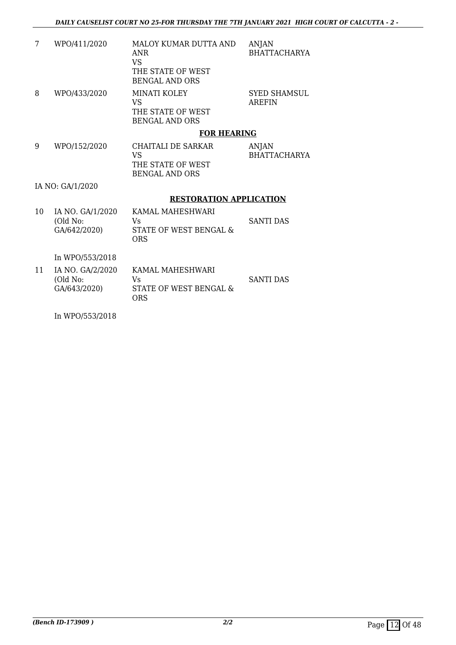| 7  | WPO/411/2020                                 | <b>MALOY KUMAR DUTTA AND</b><br><b>ANR</b><br><b>VS</b><br>THE STATE OF WEST<br><b>BENGAL AND ORS</b> | ANJAN<br><b>BHATTACHARYA</b>         |
|----|----------------------------------------------|-------------------------------------------------------------------------------------------------------|--------------------------------------|
| 8  | WPO/433/2020                                 | <b>MINATI KOLEY</b><br><b>VS</b><br>THE STATE OF WEST<br><b>BENGAL AND ORS</b>                        | <b>SYED SHAMSUL</b><br><b>AREFIN</b> |
|    |                                              | <b>FOR HEARING</b>                                                                                    |                                      |
| 9  | WPO/152/2020                                 | CHAITALI DE SARKAR<br><b>VS</b><br>THE STATE OF WEST<br><b>BENGAL AND ORS</b>                         | ANJAN<br><b>BHATTACHARYA</b>         |
|    | IA NO: GA/1/2020                             |                                                                                                       |                                      |
|    |                                              | <b>RESTORATION APPLICATION</b>                                                                        |                                      |
| 10 | IA NO. GA/1/2020<br>(Old No:<br>GA/642/2020) | KAMAL MAHESHWARI<br>Vs.<br><b>STATE OF WEST BENGAL &amp;</b><br><b>ORS</b>                            | <b>SANTI DAS</b>                     |
|    | In WPO/553/2018                              |                                                                                                       |                                      |
| 11 | IA NO. GA/2/2020<br>(Old No:<br>GA/643/2020) | KAMAL MAHESHWARI<br>Vs<br>STATE OF WEST BENGAL &<br><b>ORS</b>                                        | <b>SANTI DAS</b>                     |

In WPO/553/2018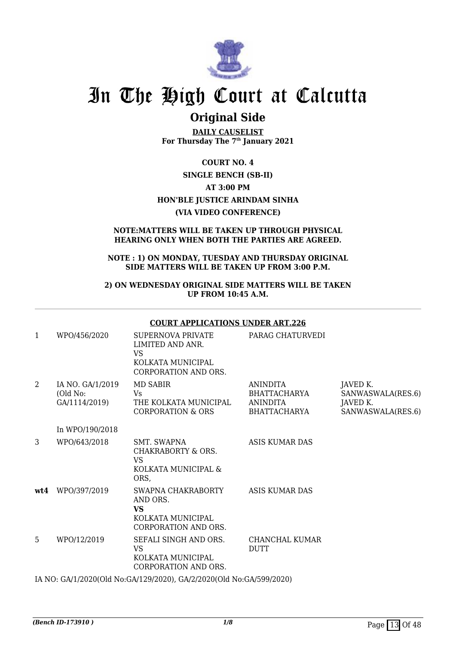

# **Original Side**

**DAILY CAUSELIST For Thursday The 7th January 2021**

## **COURT NO. 4**

# **SINGLE BENCH (SB-II)**

## **AT 3:00 PM**

# **HON'BLE JUSTICE ARINDAM SINHA**

### **(VIA VIDEO CONFERENCE)**

### **NOTE:MATTERS WILL BE TAKEN UP THROUGH PHYSICAL HEARING ONLY WHEN BOTH THE PARTIES ARE AGREED.**

## **NOTE : 1) ON MONDAY, TUESDAY AND THURSDAY ORIGINAL SIDE MATTERS WILL BE TAKEN UP FROM 3:00 P.M.**

## **2) ON WEDNESDAY ORIGINAL SIDE MATTERS WILL BE TAKEN UP FROM 10:45 A.M.**

### **COURT APPLICATIONS UNDER ART.226**

| 1   | WPO/456/2020                                  | SUPERNOVA PRIVATE<br>LIMITED AND ANR.<br><b>VS</b><br>KOLKATA MUNICIPAL<br>CORPORATION AND ORS. | PARAG CHATURVEDI                                                   |                                                                |
|-----|-----------------------------------------------|-------------------------------------------------------------------------------------------------|--------------------------------------------------------------------|----------------------------------------------------------------|
| 2   | IA NO. GA/1/2019<br>(Old No:<br>GA/1114/2019) | MD SABIR<br>Vs.<br>THE KOLKATA MUNICIPAL<br><b>CORPORATION &amp; ORS</b>                        | <b>ANINDITA</b><br>BHATTACHARYA<br><b>ANINDITA</b><br>BHATTACHARYA | JAVED K.<br>SANWASWALA(RES.6)<br>JAVED K.<br>SANWASWALA(RES.6) |
|     | In WPO/190/2018                               |                                                                                                 |                                                                    |                                                                |
| 3   | WPO/643/2018                                  | SMT. SWAPNA<br>CHAKRABORTY & ORS.<br>VS<br>KOLKATA MUNICIPAL &<br>ORS,                          | ASIS KUMAR DAS                                                     |                                                                |
| wt4 | WPO/397/2019                                  | SWAPNA CHAKRABORTY<br>AND ORS.<br><b>VS</b><br>KOLKATA MUNICIPAL<br>CORPORATION AND ORS.        | <b>ASIS KUMAR DAS</b>                                              |                                                                |
| 5   | WPO/12/2019                                   | SEFALI SINGH AND ORS.<br><b>VS</b><br>KOLKATA MUNICIPAL<br>CORPORATION AND ORS.                 | CHANCHAL KUMAR<br>DUTT                                             |                                                                |
|     | 0.11000000001117                              |                                                                                                 |                                                                    |                                                                |

IA NO: GA/1/2020(Old No:GA/129/2020), GA/2/2020(Old No:GA/599/2020)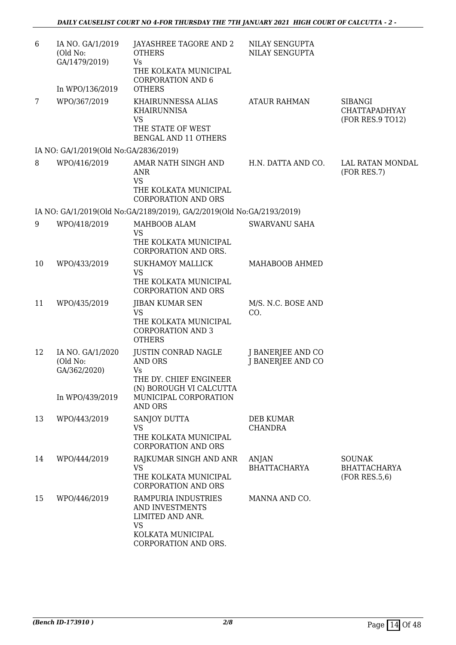| 6  | IA NO. GA/1/2019<br>(Old No:<br>GA/1479/2019)                   | JAYASHREE TAGORE AND 2<br><b>OTHERS</b><br>Vs<br>THE KOLKATA MUNICIPAL<br><b>CORPORATION AND 6</b>                               | NILAY SENGUPTA<br>NILAY SENGUPTA              |                                                            |
|----|-----------------------------------------------------------------|----------------------------------------------------------------------------------------------------------------------------------|-----------------------------------------------|------------------------------------------------------------|
|    | In WPO/136/2019                                                 | <b>OTHERS</b>                                                                                                                    |                                               |                                                            |
| 7  | WPO/367/2019                                                    | KHAIRUNNESSA ALIAS<br><b>KHAIRUNNISA</b><br><b>VS</b><br>THE STATE OF WEST<br><b>BENGAL AND 11 OTHERS</b>                        | <b>ATAUR RAHMAN</b>                           | <b>SIBANGI</b><br><b>CHATTAPADHYAY</b><br>(FOR RES.9 TO12) |
|    | IA NO: GA/1/2019(Old No:GA/2836/2019)                           |                                                                                                                                  |                                               |                                                            |
| 8  | WPO/416/2019                                                    | AMAR NATH SINGH AND<br>ANR<br><b>VS</b><br>THE KOLKATA MUNICIPAL<br><b>CORPORATION AND ORS</b>                                   | H.N. DATTA AND CO.                            | LAL RATAN MONDAL<br>(FOR RES.7)                            |
|    |                                                                 | IA NO: GA/1/2019(Old No:GA/2189/2019), GA/2/2019(Old No:GA/2193/2019)                                                            |                                               |                                                            |
| 9  | WPO/418/2019                                                    | MAHBOOB ALAM<br><b>VS</b><br>THE KOLKATA MUNICIPAL<br>CORPORATION AND ORS.                                                       | SWARVANU SAHA                                 |                                                            |
| 10 | WPO/433/2019                                                    | <b>SUKHAMOY MALLICK</b><br><b>VS</b><br>THE KOLKATA MUNICIPAL<br><b>CORPORATION AND ORS</b>                                      | MAHABOOB AHMED                                |                                                            |
| 11 | WPO/435/2019                                                    | <b>JIBAN KUMAR SEN</b><br><b>VS</b><br>THE KOLKATA MUNICIPAL<br><b>CORPORATION AND 3</b><br><b>OTHERS</b>                        | M/S. N.C. BOSE AND<br>CO.                     |                                                            |
| 12 | IA NO. GA/1/2020<br>(Old No:<br>GA/362/2020)<br>In WPO/439/2019 | <b>JUSTIN CONRAD NAGLE</b><br><b>AND ORS</b><br>Vs<br>THE DY. CHIEF ENGINEER<br>(N) BOROUGH VI CALCUTTA<br>MUNICIPAL CORPORATION | <b>J BANERJEE AND CO</b><br>J BANERJEE AND CO |                                                            |
| 13 | WPO/443/2019                                                    | <b>AND ORS</b><br>SANJOY DUTTA<br><b>VS</b><br>THE KOLKATA MUNICIPAL<br><b>CORPORATION AND ORS</b>                               | <b>DEB KUMAR</b><br><b>CHANDRA</b>            |                                                            |
| 14 | WPO/444/2019                                                    | RAJKUMAR SINGH AND ANR<br><b>VS</b><br>THE KOLKATA MUNICIPAL<br><b>CORPORATION AND ORS</b>                                       | <b>ANJAN</b><br><b>BHATTACHARYA</b>           | <b>SOUNAK</b><br><b>BHATTACHARYA</b><br>(FOR RES.5, 6)     |
| 15 | WPO/446/2019                                                    | RAMPURIA INDUSTRIES<br>AND INVESTMENTS<br>LIMITED AND ANR.<br><b>VS</b><br>KOLKATA MUNICIPAL<br>CORPORATION AND ORS.             | MANNA AND CO.                                 |                                                            |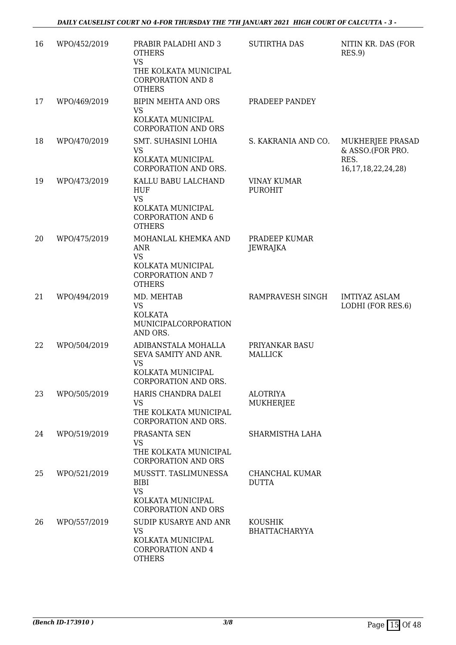| 16 | WPO/452/2019 | PRABIR PALADHI AND 3<br><b>OTHERS</b><br><b>VS</b><br>THE KOLKATA MUNICIPAL<br><b>CORPORATION AND 8</b><br><b>OTHERS</b> | <b>SUTIRTHA DAS</b>                    | NITIN KR. DAS (FOR<br>RES.9                                             |
|----|--------------|--------------------------------------------------------------------------------------------------------------------------|----------------------------------------|-------------------------------------------------------------------------|
| 17 | WPO/469/2019 | <b>BIPIN MEHTA AND ORS</b><br><b>VS</b><br>KOLKATA MUNICIPAL<br><b>CORPORATION AND ORS</b>                               | PRADEEP PANDEY                         |                                                                         |
| 18 | WPO/470/2019 | SMT. SUHASINI LOHIA<br><b>VS</b><br>KOLKATA MUNICIPAL<br>CORPORATION AND ORS.                                            | S. KAKRANIA AND CO.                    | MUKHERJEE PRASAD<br>& ASSO.(FOR PRO.<br>RES.<br>16, 17, 18, 22, 24, 28) |
| 19 | WPO/473/2019 | KALLU BABU LALCHAND<br><b>HUF</b><br><b>VS</b><br>KOLKATA MUNICIPAL<br><b>CORPORATION AND 6</b><br><b>OTHERS</b>         | <b>VINAY KUMAR</b><br><b>PUROHIT</b>   |                                                                         |
| 20 | WPO/475/2019 | MOHANLAL KHEMKA AND<br><b>ANR</b><br><b>VS</b><br>KOLKATA MUNICIPAL<br><b>CORPORATION AND 7</b><br><b>OTHERS</b>         | PRADEEP KUMAR<br><b>JEWRAJKA</b>       |                                                                         |
| 21 | WPO/494/2019 | MD. MEHTAB<br><b>VS</b><br><b>KOLKATA</b><br>MUNICIPALCORPORATION<br>AND ORS.                                            | RAMPRAVESH SINGH                       | <b>IMTIYAZ ASLAM</b><br>LODHI (FOR RES.6)                               |
| 22 | WPO/504/2019 | ADIBANSTALA MOHALLA<br>SEVA SAMITY AND ANR.<br><b>VS</b><br>KOLKATA MUNICIPAL<br>CORPORATION AND ORS.                    | PRIYANKAR BASU<br><b>MALLICK</b>       |                                                                         |
| 23 | WPO/505/2019 | HARIS CHANDRA DALEI<br><b>VS</b><br>THE KOLKATA MUNICIPAL<br>CORPORATION AND ORS.                                        | <b>ALOTRIYA</b><br>MUKHERJEE           |                                                                         |
| 24 | WPO/519/2019 | PRASANTA SEN<br><b>VS</b><br>THE KOLKATA MUNICIPAL<br><b>CORPORATION AND ORS</b>                                         | SHARMISTHA LAHA                        |                                                                         |
| 25 | WPO/521/2019 | MUSSTT. TASLIMUNESSA<br><b>BIBI</b><br><b>VS</b><br>KOLKATA MUNICIPAL<br><b>CORPORATION AND ORS</b>                      | CHANCHAL KUMAR<br><b>DUTTA</b>         |                                                                         |
| 26 | WPO/557/2019 | SUDIP KUSARYE AND ANR<br><b>VS</b><br>KOLKATA MUNICIPAL<br><b>CORPORATION AND 4</b><br><b>OTHERS</b>                     | <b>KOUSHIK</b><br><b>BHATTACHARYYA</b> |                                                                         |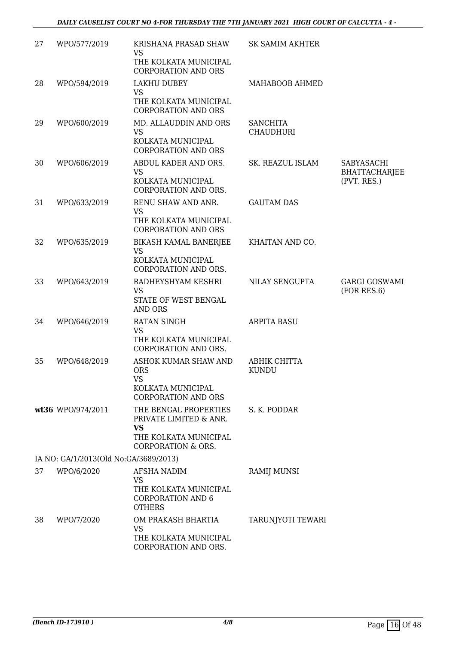| 27 | WPO/577/2019                          | KRISHANA PRASAD SHAW<br><b>VS</b><br>THE KOLKATA MUNICIPAL<br><b>CORPORATION AND ORS</b>                               | <b>SK SAMIM AKHTER</b>              |                                                   |
|----|---------------------------------------|------------------------------------------------------------------------------------------------------------------------|-------------------------------------|---------------------------------------------------|
| 28 | WPO/594/2019                          | <b>LAKHU DUBEY</b><br><b>VS</b><br>THE KOLKATA MUNICIPAL<br><b>CORPORATION AND ORS</b>                                 | MAHABOOB AHMED                      |                                                   |
| 29 | WPO/600/2019                          | MD. ALLAUDDIN AND ORS<br><b>VS</b><br>KOLKATA MUNICIPAL<br><b>CORPORATION AND ORS</b>                                  | <b>SANCHITA</b><br><b>CHAUDHURI</b> |                                                   |
| 30 | WPO/606/2019                          | ABDUL KADER AND ORS.<br><b>VS</b><br>KOLKATA MUNICIPAL<br>CORPORATION AND ORS.                                         | SK. REAZUL ISLAM                    | SABYASACHI<br><b>BHATTACHARJEE</b><br>(PVT. RES.) |
| 31 | WPO/633/2019                          | RENU SHAW AND ANR.<br>VS<br>THE KOLKATA MUNICIPAL<br><b>CORPORATION AND ORS</b>                                        | <b>GAUTAM DAS</b>                   |                                                   |
| 32 | WPO/635/2019                          | BIKASH KAMAL BANERJEE<br><b>VS</b><br>KOLKATA MUNICIPAL<br>CORPORATION AND ORS.                                        | KHAITAN AND CO.                     |                                                   |
| 33 | WPO/643/2019                          | RADHEYSHYAM KESHRI<br><b>VS</b><br>STATE OF WEST BENGAL<br>AND ORS                                                     | NILAY SENGUPTA                      | <b>GARGI GOSWAMI</b><br>(FOR RES.6)               |
| 34 | WPO/646/2019                          | <b>RATAN SINGH</b><br><b>VS</b><br>THE KOLKATA MUNICIPAL<br>CORPORATION AND ORS.                                       | <b>ARPITA BASU</b>                  |                                                   |
| 35 | WPO/648/2019                          | ASHOK KUMAR SHAW AND<br><b>ORS</b><br><b>VS</b>                                                                        | ABHIK CHITTA<br><b>KUNDU</b>        |                                                   |
|    |                                       | KOLKATA MUNICIPAL<br><b>CORPORATION AND ORS</b>                                                                        |                                     |                                                   |
|    | wt36 WPO/974/2011                     | THE BENGAL PROPERTIES<br>PRIVATE LIMITED & ANR.<br><b>VS</b><br>THE KOLKATA MUNICIPAL<br><b>CORPORATION &amp; ORS.</b> | S. K. PODDAR                        |                                                   |
|    | IA NO: GA/1/2013(Old No:GA/3689/2013) |                                                                                                                        |                                     |                                                   |
| 37 | WPO/6/2020                            | AFSHA NADIM<br>VS<br>THE KOLKATA MUNICIPAL<br><b>CORPORATION AND 6</b><br><b>OTHERS</b>                                | <b>RAMIJ MUNSI</b>                  |                                                   |
| 38 | WPO/7/2020                            | OM PRAKASH BHARTIA<br><b>VS</b><br>THE KOLKATA MUNICIPAL<br>CORPORATION AND ORS.                                       | TARUNJYOTI TEWARI                   |                                                   |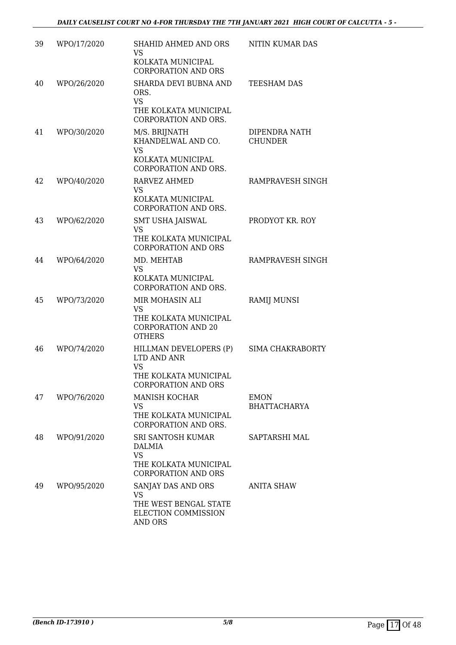| 39 | WPO/17/2020 | SHAHID AHMED AND ORS<br><b>VS</b><br>KOLKATA MUNICIPAL                                                    | NITIN KUMAR DAS                    |
|----|-------------|-----------------------------------------------------------------------------------------------------------|------------------------------------|
|    |             | <b>CORPORATION AND ORS</b>                                                                                |                                    |
| 40 | WPO/26/2020 | SHARDA DEVI BUBNA AND<br>ORS.<br><b>VS</b><br>THE KOLKATA MUNICIPAL<br>CORPORATION AND ORS.               | TEESHAM DAS                        |
| 41 | WPO/30/2020 | M/S. BRIJNATH<br>KHANDELWAL AND CO.<br><b>VS</b><br>KOLKATA MUNICIPAL<br>CORPORATION AND ORS.             | DIPENDRA NATH<br><b>CHUNDER</b>    |
| 42 | WPO/40/2020 | RARVEZ AHMED<br>VS<br>KOLKATA MUNICIPAL<br>CORPORATION AND ORS.                                           | RAMPRAVESH SINGH                   |
| 43 | WPO/62/2020 | <b>SMT USHA JAISWAL</b><br><b>VS</b><br>THE KOLKATA MUNICIPAL<br><b>CORPORATION AND ORS</b>               | PRODYOT KR. ROY                    |
| 44 | WPO/64/2020 | MD. MEHTAB<br><b>VS</b><br>KOLKATA MUNICIPAL<br>CORPORATION AND ORS.                                      | RAMPRAVESH SINGH                   |
| 45 | WPO/73/2020 | MIR MOHASIN ALI<br><b>VS</b><br>THE KOLKATA MUNICIPAL<br><b>CORPORATION AND 20</b><br><b>OTHERS</b>       | <b>RAMIJ MUNSI</b>                 |
| 46 | WPO/74/2020 | HILLMAN DEVELOPERS (P)<br>LTD AND ANR<br><b>VS</b><br>THE KOLKATA MUNICIPAL<br><b>CORPORATION AND ORS</b> | SIMA CHAKRABORTY                   |
| 47 | WPO/76/2020 | <b>MANISH KOCHAR</b><br>VS<br>THE KOLKATA MUNICIPAL<br>CORPORATION AND ORS.                               | <b>EMON</b><br><b>BHATTACHARYA</b> |
| 48 | WPO/91/2020 | SRI SANTOSH KUMAR<br>DALMIA<br><b>VS</b><br>THE KOLKATA MUNICIPAL<br><b>CORPORATION AND ORS</b>           | SAPTARSHI MAL                      |
| 49 | WPO/95/2020 | SANJAY DAS AND ORS<br>VS.<br>THE WEST BENGAL STATE<br>ELECTION COMMISSION<br><b>AND ORS</b>               | ANITA SHAW                         |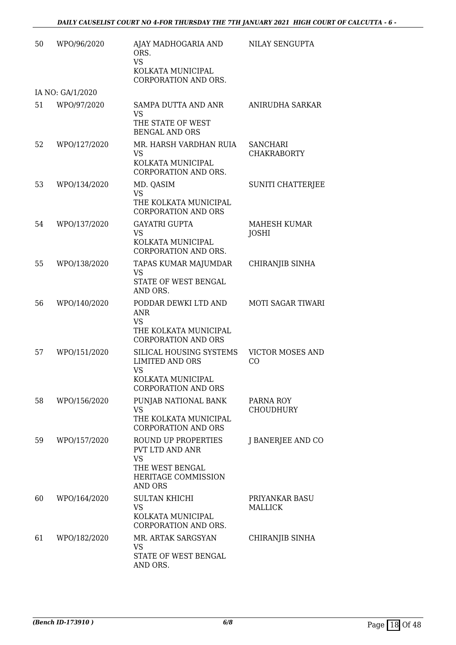| 50 | WPO/96/2020      | AJAY MADHOGARIA AND<br>ORS.<br><b>VS</b><br>KOLKATA MUNICIPAL<br>CORPORATION AND ORS.                             | NILAY SENGUPTA                        |
|----|------------------|-------------------------------------------------------------------------------------------------------------------|---------------------------------------|
|    | IA NO: GA/1/2020 |                                                                                                                   |                                       |
| 51 | WPO/97/2020      | SAMPA DUTTA AND ANR<br><b>VS</b><br>THE STATE OF WEST<br><b>BENGAL AND ORS</b>                                    | ANIRUDHA SARKAR                       |
| 52 | WPO/127/2020     | MR. HARSH VARDHAN RUIA<br><b>VS</b><br>KOLKATA MUNICIPAL<br>CORPORATION AND ORS.                                  | <b>SANCHARI</b><br><b>CHAKRABORTY</b> |
| 53 | WPO/134/2020     | MD. QASIM<br>VS<br>THE KOLKATA MUNICIPAL<br><b>CORPORATION AND ORS</b>                                            | SUNITI CHATTERJEE                     |
| 54 | WPO/137/2020     | <b>GAYATRI GUPTA</b><br><b>VS</b><br>KOLKATA MUNICIPAL<br>CORPORATION AND ORS.                                    | MAHESH KUMAR<br><b>JOSHI</b>          |
| 55 | WPO/138/2020     | TAPAS KUMAR MAJUMDAR<br>VS<br>STATE OF WEST BENGAL<br>AND ORS.                                                    | CHIRANJIB SINHA                       |
| 56 | WPO/140/2020     | PODDAR DEWKI LTD AND<br><b>ANR</b><br><b>VS</b><br>THE KOLKATA MUNICIPAL<br><b>CORPORATION AND ORS</b>            | <b>MOTI SAGAR TIWARI</b>              |
| 57 | WPO/151/2020     | SILICAL HOUSING SYSTEMS<br><b>LIMITED AND ORS</b><br><b>VS</b><br>KOLKATA MUNICIPAL<br><b>CORPORATION AND ORS</b> | <b>VICTOR MOSES AND</b><br>CO         |
| 58 | WPO/156/2020     | PUNJAB NATIONAL BANK<br><b>VS</b><br>THE KOLKATA MUNICIPAL<br><b>CORPORATION AND ORS</b>                          | PARNA ROY<br><b>CHOUDHURY</b>         |
| 59 | WPO/157/2020     | ROUND UP PROPERTIES<br>PVT LTD AND ANR<br><b>VS</b><br>THE WEST BENGAL<br>HERITAGE COMMISSION<br><b>AND ORS</b>   | J BANERJEE AND CO                     |
| 60 | WPO/164/2020     | <b>SULTAN KHICHI</b><br><b>VS</b><br>KOLKATA MUNICIPAL<br>CORPORATION AND ORS.                                    | PRIYANKAR BASU<br>MALLICK             |
| 61 | WPO/182/2020     | MR. ARTAK SARGSYAN<br>VS<br>STATE OF WEST BENGAL<br>AND ORS.                                                      | CHIRANJIB SINHA                       |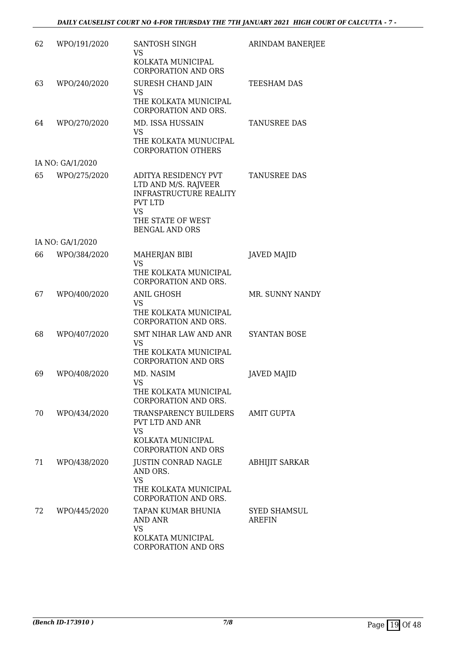| 62 | WPO/191/2020     | SANTOSH SINGH<br>VS                                                                                                                                        | ARINDAM BANERJEE                     |
|----|------------------|------------------------------------------------------------------------------------------------------------------------------------------------------------|--------------------------------------|
|    |                  | KOLKATA MUNICIPAL<br><b>CORPORATION AND ORS</b>                                                                                                            |                                      |
| 63 | WPO/240/2020     | SURESH CHAND JAIN<br><b>VS</b><br>THE KOLKATA MUNICIPAL<br>CORPORATION AND ORS.                                                                            | TEESHAM DAS                          |
| 64 | WPO/270/2020     | MD. ISSA HUSSAIN<br><b>VS</b><br>THE KOLKATA MUNUCIPAL<br><b>CORPORATION OTHERS</b>                                                                        | TANUSREE DAS                         |
|    | IA NO: GA/1/2020 |                                                                                                                                                            |                                      |
| 65 | WPO/275/2020     | ADITYA RESIDENCY PVT<br>LTD AND M/S. RAJVEER<br><b>INFRASTRUCTURE REALITY</b><br><b>PVT LTD</b><br><b>VS</b><br>THE STATE OF WEST<br><b>BENGAL AND ORS</b> | <b>TANUSREE DAS</b>                  |
|    | IA NO: GA/1/2020 |                                                                                                                                                            |                                      |
| 66 | WPO/384/2020     | MAHERJAN BIBI<br><b>VS</b><br>THE KOLKATA MUNICIPAL<br>CORPORATION AND ORS.                                                                                | <b>JAVED MAJID</b>                   |
| 67 | WPO/400/2020     | <b>ANIL GHOSH</b><br><b>VS</b><br>THE KOLKATA MUNICIPAL<br>CORPORATION AND ORS.                                                                            | MR. SUNNY NANDY                      |
| 68 | WPO/407/2020     | <b>SMT NIHAR LAW AND ANR</b><br>VS<br>THE KOLKATA MUNICIPAL<br><b>CORPORATION AND ORS</b>                                                                  | <b>SYANTAN BOSE</b>                  |
| 69 | WPO/408/2020     | MD. NASIM<br>VS<br>THE KOLKATA MUNICIPAL<br>CORPORATION AND ORS.                                                                                           | <b>JAVED MAJID</b>                   |
| 70 | WPO/434/2020     | TRANSPARENCY BUILDERS<br>PVT LTD AND ANR<br><b>VS</b><br>KOLKATA MUNICIPAL                                                                                 | <b>AMIT GUPTA</b>                    |
|    |                  | <b>CORPORATION AND ORS</b>                                                                                                                                 |                                      |
| 71 | WPO/438/2020     | JUSTIN CONRAD NAGLE<br>AND ORS.<br><b>VS</b><br>THE KOLKATA MUNICIPAL<br>CORPORATION AND ORS.                                                              | <b>ABHIJIT SARKAR</b>                |
| 72 | WPO/445/2020     | TAPAN KUMAR BHUNIA<br>AND ANR<br><b>VS</b><br>KOLKATA MUNICIPAL<br><b>CORPORATION AND ORS</b>                                                              | <b>SYED SHAMSUL</b><br><b>AREFIN</b> |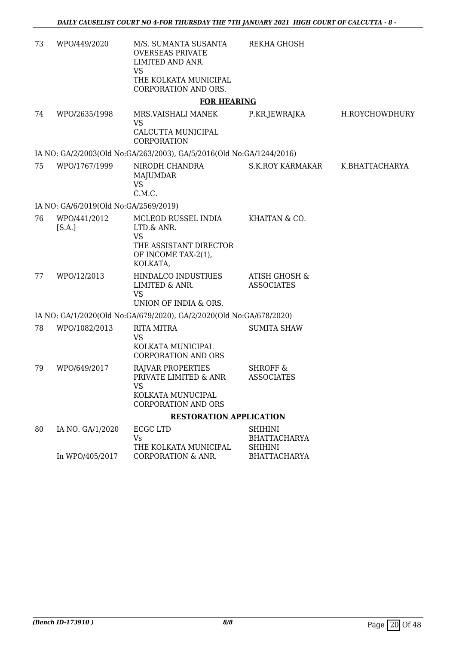| 73 | WPO/449/2020                          | M/S. SUMANTA SUSANTA<br><b>OVERSEAS PRIVATE</b><br>LIMITED AND ANR.<br><b>VS</b><br>THE KOLKATA MUNICIPAL   | REKHA GHOSH                                                                    |                |
|----|---------------------------------------|-------------------------------------------------------------------------------------------------------------|--------------------------------------------------------------------------------|----------------|
|    |                                       | CORPORATION AND ORS.                                                                                        |                                                                                |                |
|    |                                       | <b>FOR HEARING</b>                                                                                          |                                                                                |                |
| 74 | WPO/2635/1998                         | MRS.VAISHALI MANEK<br><b>VS</b>                                                                             | P.KR.JEWRAJKA                                                                  | H.ROYCHOWDHURY |
|    |                                       | CALCUTTA MUNICIPAL<br>CORPORATION                                                                           |                                                                                |                |
|    |                                       | IA NO: GA/2/2003(Old No:GA/263/2003), GA/5/2016(Old No:GA/1244/2016)                                        |                                                                                |                |
| 75 | WPO/1767/1999                         | NIRODH CHANDRA<br>MAJUMDAR<br><b>VS</b><br>C.M.C.                                                           | <b>S.K.ROY KARMAKAR</b>                                                        | K.BHATTACHARYA |
|    | IA NO: GA/6/2019(Old No:GA/2569/2019) |                                                                                                             |                                                                                |                |
| 76 | WPO/441/2012<br>[S.A.]                | MCLEOD RUSSEL INDIA<br>LTD.& ANR.<br><b>VS</b><br>THE ASSISTANT DIRECTOR<br>OF INCOME TAX-2(1),<br>KOLKATA, | KHAITAN & CO.                                                                  |                |
| 77 | WPO/12/2013                           | HINDALCO INDUSTRIES<br>LIMITED & ANR.<br><b>VS</b><br>UNION OF INDIA & ORS.                                 | <b>ATISH GHOSH &amp;</b><br><b>ASSOCIATES</b>                                  |                |
|    |                                       | IA NO: GA/1/2020(Old No:GA/679/2020), GA/2/2020(Old No:GA/678/2020)                                         |                                                                                |                |
| 78 | WPO/1082/2013                         | <b>RITA MITRA</b><br><b>VS</b><br>KOLKATA MUNICIPAL<br><b>CORPORATION AND ORS</b>                           | <b>SUMITA SHAW</b>                                                             |                |
| 79 | WPO/649/2017                          | RAJVAR PROPERTIES<br>PRIVATE LIMITED & ANR<br><b>VS</b><br>KOLKATA MUNUCIPAL<br><b>CORPORATION AND ORS</b>  | <b>SHROFF &amp;</b><br><b>ASSOCIATES</b>                                       |                |
|    |                                       | <b>RESTORATION APPLICATION</b>                                                                              |                                                                                |                |
| 80 | IA NO. GA/1/2020<br>In WPO/405/2017   | ECGC LTD<br>Vs<br>THE KOLKATA MUNICIPAL<br>CORPORATION & ANR.                                               | <b>SHIHINI</b><br><b>BHATTACHARYA</b><br><b>SHIHINI</b><br><b>BHATTACHARYA</b> |                |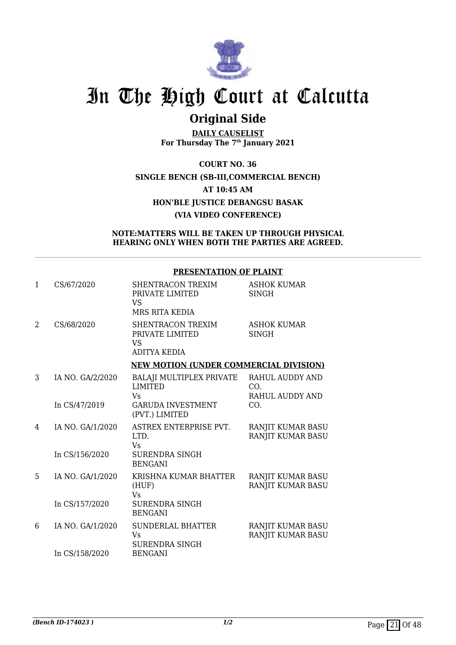

# **Original Side**

**DAILY CAUSELIST For Thursday The 7th January 2021**

**COURT NO. 36 SINGLE BENCH (SB-III,COMMERCIAL BENCH) AT 10:45 AM HON'BLE JUSTICE DEBANGSU BASAK (VIA VIDEO CONFERENCE)**

## **NOTE:MATTERS WILL BE TAKEN UP THROUGH PHYSICAL HEARING ONLY WHEN BOTH THE PARTIES ARE AGREED.**

|              |                  | <u> 1 RESERVITITOR SI TEMRIT</u>                                    |                                           |
|--------------|------------------|---------------------------------------------------------------------|-------------------------------------------|
| $\mathbf{1}$ | CS/67/2020       | SHENTRACON TREXIM<br>PRIVATE LIMITED<br><b>VS</b><br>MRS RITA KEDIA | ASHOK KUMAR<br><b>SINGH</b>               |
| 2            | CS/68/2020       | SHENTRACON TREXIM<br>PRIVATE LIMITED<br>VS<br><b>ADITYA KEDIA</b>   | <b>ASHOK KUMAR</b><br><b>SINGH</b>        |
|              |                  | <b>NEW MOTION (UNDER COMMERCIAL DIVISION)</b>                       |                                           |
| 3            | IA NO. GA/2/2020 | BALAJI MULTIPLEX PRIVATE<br><b>LIMITED</b><br>Vs                    | RAHUL AUDDY AND<br>CO.<br>RAHUL AUDDY AND |
|              | In CS/47/2019    | <b>GARUDA INVESTMENT</b><br>(PVT.) LIMITED                          | CO.                                       |
| 4            | IA NO. GA/1/2020 | ASTREX ENTERPRISE PVT.<br>LTD.<br><b>V<sub>S</sub></b>              | RANJIT KUMAR BASU<br>RANJIT KUMAR BASU    |
|              | In CS/156/2020   | <b>SURENDRA SINGH</b><br><b>BENGANI</b>                             |                                           |
| 5.           | IA NO. GA/1/2020 | KRISHNA KUMAR BHATTER<br>(HUF)<br><b>Vs</b>                         | RANJIT KUMAR BASU<br>RANJIT KUMAR BASU    |
|              | In CS/157/2020   | <b>SURENDRA SINGH</b><br><b>BENGANI</b>                             |                                           |
| 6            | IA NO. GA/1/2020 | <b>SUNDERLAL BHATTER</b><br><b>Vs</b><br><b>SURENDRA SINGH</b>      | RANJIT KUMAR BASU<br>RANJIT KUMAR BASU    |
|              | In CS/158/2020   | <b>BENGANI</b>                                                      |                                           |

## **PRESENTATION OF PLAINT**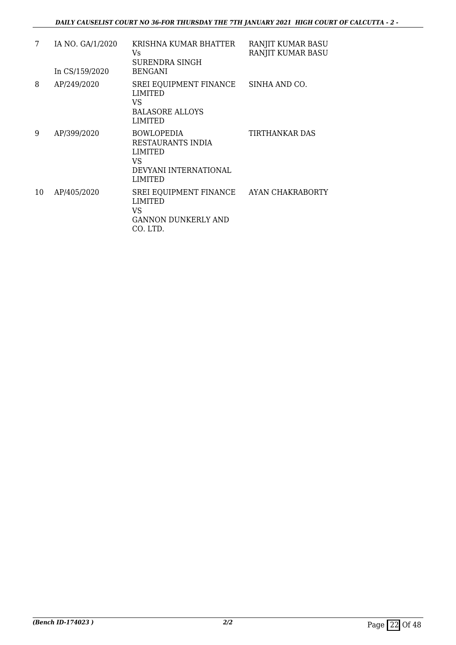| 7  | IA NO. GA/1/2020<br>In CS/159/2020 | KRISHNA KUMAR BHATTER<br>Vs<br>SURENDRA SINGH<br><b>BENGANI</b>                                           | RANJIT KUMAR BASU<br>RANJIT KUMAR BASU |
|----|------------------------------------|-----------------------------------------------------------------------------------------------------------|----------------------------------------|
| 8  | AP/249/2020                        | SREI EQUIPMENT FINANCE<br><b>LIMITED</b><br>VS<br><b>BALASORE ALLOYS</b><br><b>LIMITED</b>                | SINHA AND CO.                          |
| 9  | AP/399/2020                        | <b>BOWLOPEDIA</b><br>RESTAURANTS INDIA<br><b>LIMITED</b><br>VS<br>DEVYANI INTERNATIONAL<br><b>LIMITED</b> | TIRTHANKAR DAS                         |
| 10 | AP/405/2020                        | SREI EQUIPMENT FINANCE<br><b>LIMITED</b><br>VS<br><b>GANNON DUNKERLY AND</b><br>CO. LTD.                  | AYAN CHAKRABORTY                       |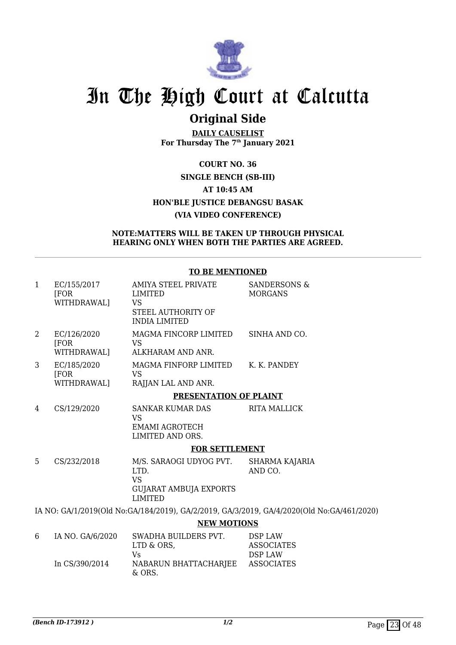

# **Original Side**

**DAILY CAUSELIST For Thursday The 7th January 2021**

**COURT NO. 36 SINGLE BENCH (SB-III) AT 10:45 AM HON'BLE JUSTICE DEBANGSU BASAK (VIA VIDEO CONFERENCE)**

## **NOTE:MATTERS WILL BE TAKEN UP THROUGH PHYSICAL HEARING ONLY WHEN BOTH THE PARTIES ARE AGREED.**

### **TO BE MENTIONED**

| $\mathbf{1}$   | EC/155/2017<br>[FOR]<br>WITHDRAWAL] | AMIYA STEEL PRIVATE<br>LIMITED<br>VS<br>STEEL AUTHORITY OF<br><b>INDIA LIMITED</b>              | <b>SANDERSONS &amp;</b><br><b>MORGANS</b>                                                 |
|----------------|-------------------------------------|-------------------------------------------------------------------------------------------------|-------------------------------------------------------------------------------------------|
| $\overline{2}$ | EC/126/2020<br><b>FOR</b>           | MAGMA FINCORP LIMITED<br><b>VS</b>                                                              | SINHA AND CO.                                                                             |
|                | WITHDRAWAL]                         | ALKHARAM AND ANR.                                                                               |                                                                                           |
| 3              | EC/185/2020<br>[FOR]                | MAGMA FINFORP LIMITED<br>VS                                                                     | K. K. PANDEY                                                                              |
|                | WITHDRAWAL]                         | RAJJAN LAL AND ANR.                                                                             |                                                                                           |
|                |                                     | PRESENTATION OF PLAINT                                                                          |                                                                                           |
| 4              | CS/129/2020                         | SANKAR KUMAR DAS<br><b>VS</b>                                                                   | <b>RITA MALLICK</b>                                                                       |
|                |                                     | <b>EMAMI AGROTECH</b><br>LIMITED AND ORS.                                                       |                                                                                           |
|                |                                     | <b>FOR SETTLEMENT</b>                                                                           |                                                                                           |
| 5              | CS/232/2018                         | M/S. SARAOGI UDYOG PVT.<br>LTD.<br><b>VS</b><br><b>GUJARAT AMBUJA EXPORTS</b><br><b>LIMITED</b> | SHARMA KAJARIA<br>AND CO.                                                                 |
|                |                                     |                                                                                                 | IA NO: GA/1/2019(Old No:GA/184/2019), GA/2/2019, GA/3/2019, GA/4/2020(Old No:GA/461/2020) |
|                |                                     | <b>NEW MOTIONS</b>                                                                              |                                                                                           |
| 6              | IA NO. GA/6/2020                    | SWADHA BUILDERS PVT.<br>LTD & ORS,                                                              | <b>DSP LAW</b><br><b>ASSOCIATES</b>                                                       |
|                | In CS/390/2014                      | Vs<br>NABARUN BHATTACHARJEE<br>& ORS.                                                           | DSP LAW<br><b>ASSOCIATES</b>                                                              |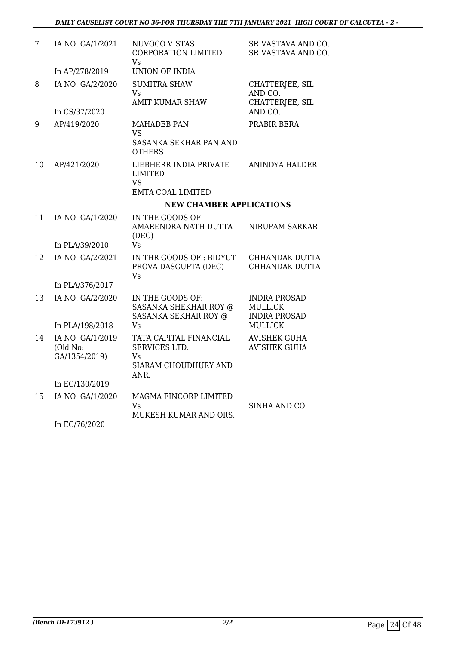| 7  | IA NO. GA/1/2021                              | NUVOCO VISTAS<br><b>CORPORATION LIMITED</b><br><b>Vs</b>                          | SRIVASTAVA AND CO.<br>SRIVASTAVA AND CO.                     |
|----|-----------------------------------------------|-----------------------------------------------------------------------------------|--------------------------------------------------------------|
|    | In AP/278/2019                                | <b>UNION OF INDIA</b>                                                             |                                                              |
| 8  | IA NO. GA/2/2020                              | <b>SUMITRA SHAW</b><br><b>Vs</b><br><b>AMIT KUMAR SHAW</b>                        | CHATTERJEE, SIL<br>AND CO.<br>CHATTERJEE, SIL                |
|    | In CS/37/2020                                 |                                                                                   | AND CO.                                                      |
| 9  | AP/419/2020                                   | <b>MAHADEB PAN</b><br><b>VS</b><br>SASANKA SEKHAR PAN AND<br><b>OTHERS</b>        | PRABIR BERA                                                  |
| 10 | AP/421/2020                                   | LIEBHERR INDIA PRIVATE<br><b>LIMITED</b><br><b>VS</b><br><b>EMTA COAL LIMITED</b> | <b>ANINDYA HALDER</b>                                        |
|    |                                               | <b>NEW CHAMBER APPLICATIONS</b>                                                   |                                                              |
| 11 | IA NO. GA/1/2020                              | IN THE GOODS OF<br>AMARENDRA NATH DUTTA<br>(DEC)                                  | NIRUPAM SARKAR                                               |
|    | In PLA/39/2010                                | <b>Vs</b>                                                                         |                                                              |
| 12 | IA NO. GA/2/2021                              | IN THR GOODS OF: BIDYUT<br>PROVA DASGUPTA (DEC)<br>Vs                             | CHHANDAK DUTTA<br>CHHANDAK DUTTA                             |
|    | In PLA/376/2017                               |                                                                                   |                                                              |
| 13 | IA NO. GA/2/2020                              | IN THE GOODS OF:<br><b>SASANKA SHEKHAR ROY @</b><br><b>SASANKA SEKHAR ROY @</b>   | <b>INDRA PROSAD</b><br><b>MULLICK</b><br><b>INDRA PROSAD</b> |
|    | In PLA/198/2018                               | Vs                                                                                | <b>MULLICK</b>                                               |
| 14 | IA NO. GA/1/2019<br>(Old No:<br>GA/1354/2019) | TATA CAPITAL FINANCIAL<br>SERVICES LTD.<br>Vs<br>SIARAM CHOUDHURY AND<br>ANR.     | <b>AVISHEK GUHA</b><br><b>AVISHEK GUHA</b>                   |
|    | In EC/130/2019                                |                                                                                   |                                                              |
| 15 | IA NO. GA/1/2020                              | MAGMA FINCORP LIMITED<br>Vs<br>MUKESH KUMAR AND ORS.                              | SINHA AND CO.                                                |
|    | TQHQHQQQ                                      |                                                                                   |                                                              |

In EC/76/2020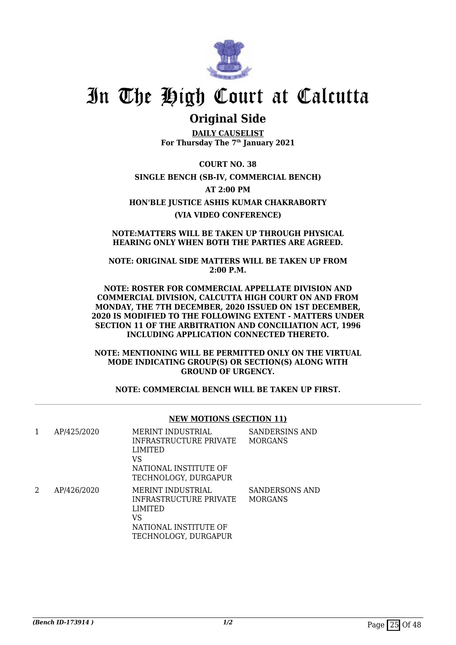

# **Original Side**

**DAILY CAUSELIST For Thursday The 7th January 2021**

**COURT NO. 38 SINGLE BENCH (SB-IV, COMMERCIAL BENCH) AT 2:00 PM HON'BLE JUSTICE ASHIS KUMAR CHAKRABORTY (VIA VIDEO CONFERENCE)**

**NOTE:MATTERS WILL BE TAKEN UP THROUGH PHYSICAL HEARING ONLY WHEN BOTH THE PARTIES ARE AGREED.**

**NOTE: ORIGINAL SIDE MATTERS WILL BE TAKEN UP FROM 2:00 P.M.**

**NOTE: ROSTER FOR COMMERCIAL APPELLATE DIVISION AND COMMERCIAL DIVISION, CALCUTTA HIGH COURT ON AND FROM MONDAY, THE 7TH DECEMBER, 2020 ISSUED ON 1ST DECEMBER, 2020 IS MODIFIED TO THE FOLLOWING EXTENT - MATTERS UNDER SECTION 11 OF THE ARBITRATION AND CONCILIATION ACT, 1996 INCLUDING APPLICATION CONNECTED THERETO.**

**NOTE: MENTIONING WILL BE PERMITTED ONLY ON THE VIRTUAL MODE INDICATING GROUP(S) OR SECTION(S) ALONG WITH GROUND OF URGENCY.**

**NOTE: COMMERCIAL BENCH WILL BE TAKEN UP FIRST.**

|   |             | <b>NEW MOTIONS (SECTION 11)</b>                                                                                             |                                         |
|---|-------------|-----------------------------------------------------------------------------------------------------------------------------|-----------------------------------------|
| 1 | AP/425/2020 | MERINT INDUSTRIAL<br>INFRASTRUCTURE PRIVATE<br><b>LIMITED</b><br>VS<br>NATIONAL INSTITUTE OF<br>TECHNOLOGY, DURGAPUR        | <b>SANDERSINS AND</b><br><b>MORGANS</b> |
| 2 | AP/426/2020 | <b>MERINT INDUSTRIAL</b><br>INFRASTRUCTURE PRIVATE<br><b>LIMITED</b><br>VS<br>NATIONAL INSTITUTE OF<br>TECHNOLOGY, DURGAPUR | <b>SANDERSONS AND</b><br><b>MORGANS</b> |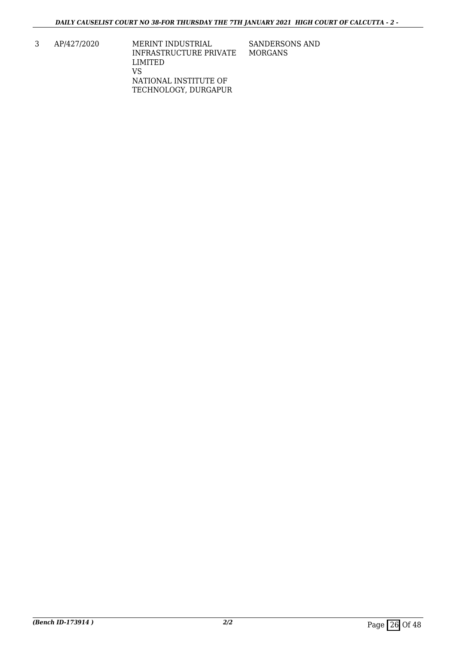3 AP/427/2020 MERINT INDUSTRIAL INFRASTRUCTURE PRIVATE LIMITED VS NATIONAL INSTITUTE OF TECHNOLOGY, DURGAPUR SANDERSONS AND MORGANS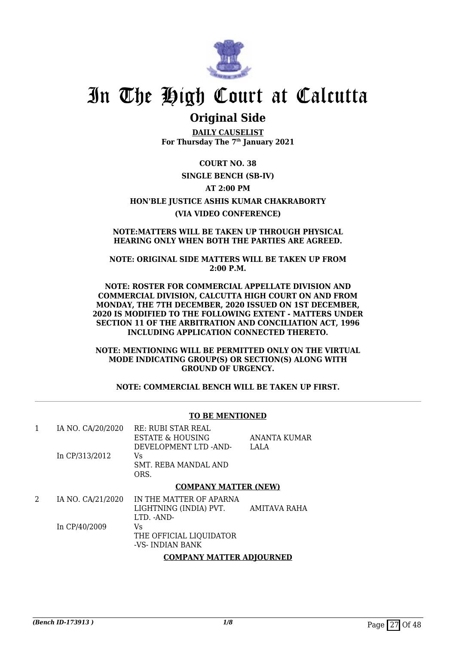

# **Original Side**

**DAILY CAUSELIST For Thursday The 7th January 2021**

**COURT NO. 38**

## **SINGLE BENCH (SB-IV)**

## **AT 2:00 PM**

# **HON'BLE JUSTICE ASHIS KUMAR CHAKRABORTY**

# **(VIA VIDEO CONFERENCE)**

### **NOTE:MATTERS WILL BE TAKEN UP THROUGH PHYSICAL HEARING ONLY WHEN BOTH THE PARTIES ARE AGREED.**

### **NOTE: ORIGINAL SIDE MATTERS WILL BE TAKEN UP FROM 2:00 P.M.**

#### **NOTE: ROSTER FOR COMMERCIAL APPELLATE DIVISION AND COMMERCIAL DIVISION, CALCUTTA HIGH COURT ON AND FROM MONDAY, THE 7TH DECEMBER, 2020 ISSUED ON 1ST DECEMBER, 2020 IS MODIFIED TO THE FOLLOWING EXTENT - MATTERS UNDER SECTION 11 OF THE ARBITRATION AND CONCILIATION ACT, 1996 INCLUDING APPLICATION CONNECTED THERETO.**

**NOTE: MENTIONING WILL BE PERMITTED ONLY ON THE VIRTUAL MODE INDICATING GROUP(S) OR SECTION(S) ALONG WITH GROUND OF URGENCY.**

**NOTE: COMMERCIAL BENCH WILL BE TAKEN UP FIRST.**

## **TO BE MENTIONED**

|                   | <b>COMPANY MATTER (NEW)</b>  |              |
|-------------------|------------------------------|--------------|
|                   | SMT. REBA MANDAL AND<br>ORS. |              |
| In CP/313/2012    | Vs                           |              |
|                   | DEVELOPMENT LTD -AND-        | LALA         |
|                   | <b>ESTATE &amp; HOUSING</b>  | ANANTA KUMAR |
| IA NO. CA/20/2020 | RE: RUBI STAR REAL           |              |

| IA NO. CA/21/2020 | IN THE MATTER OF APARNA |              |
|-------------------|-------------------------|--------------|
|                   | LIGHTNING (INDIA) PVT.  | AMITAVA RAHA |
|                   | LTD. -AND-              |              |
| In CP/40/2009     | Vs.                     |              |
|                   | THE OFFICIAL LIOUIDATOR |              |
|                   | -VS- INDIAN BANK        |              |
|                   |                         |              |

## **COMPANY MATTER ADJOURNED**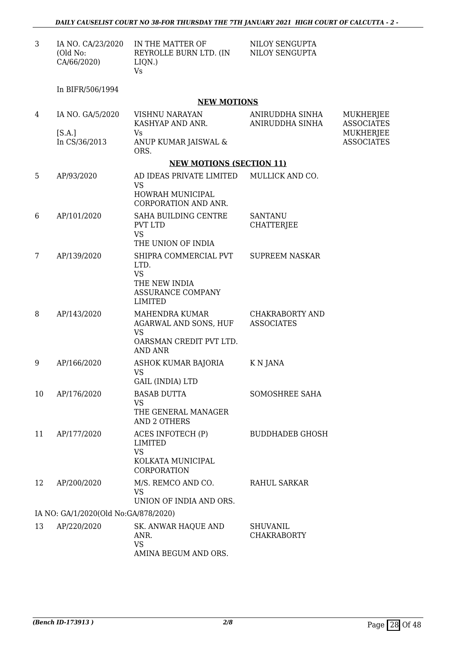| IA NO. CA/23/2020 | IN THE MATTER OF       | NILOY SENGUPTA |
|-------------------|------------------------|----------------|
| (Old No:          | REYROLLE BURN LTD. (IN | NILOY SENGUPTA |
| CA/66/2020)       | LION.)                 |                |
|                   | Vs.                    |                |

In BIFR/506/1994

## **NEW MOTIONS**

| 4  | IA NO. GA/5/2020                     | VISHNU NARAYAN<br>KASHYAP AND ANR.                                                                        | ANIRUDDHA SINHA<br>ANIRUDDHA SINHA          | MUKHERJEE<br><b>ASSOCIATES</b> |
|----|--------------------------------------|-----------------------------------------------------------------------------------------------------------|---------------------------------------------|--------------------------------|
|    | [S.A.]<br>In CS/36/2013              | Vs<br>ANUP KUMAR JAISWAL &<br>ORS.                                                                        |                                             | MUKHERJEE<br><b>ASSOCIATES</b> |
|    |                                      | <b>NEW MOTIONS (SECTION 11)</b>                                                                           |                                             |                                |
| 5  | AP/93/2020                           | AD IDEAS PRIVATE LIMITED<br><b>VS</b><br>HOWRAH MUNICIPAL<br><b>CORPORATION AND ANR.</b>                  | MULLICK AND CO.                             |                                |
| 6  | AP/101/2020                          | SAHA BUILDING CENTRE<br>PVT LTD<br><b>VS</b><br>THE UNION OF INDIA                                        | <b>SANTANU</b><br><b>CHATTERJEE</b>         |                                |
| 7  | AP/139/2020                          | SHIPRA COMMERCIAL PVT<br>LTD.<br><b>VS</b><br>THE NEW INDIA<br><b>ASSURANCE COMPANY</b><br><b>LIMITED</b> | <b>SUPREEM NASKAR</b>                       |                                |
| 8  | AP/143/2020                          | MAHENDRA KUMAR<br>AGARWAL AND SONS, HUF<br><b>VS</b><br>OARSMAN CREDIT PVT LTD.<br><b>AND ANR</b>         | <b>CHAKRABORTY AND</b><br><b>ASSOCIATES</b> |                                |
| 9  | AP/166/2020                          | ASHOK KUMAR BAJORIA<br><b>VS</b><br><b>GAIL (INDIA) LTD</b>                                               | K N JANA                                    |                                |
| 10 | AP/176/2020                          | <b>BASAB DUTTA</b><br><b>VS</b><br>THE GENERAL MANAGER<br><b>AND 2 OTHERS</b>                             | SOMOSHREE SAHA                              |                                |
| 11 | AP/177/2020                          | ACES INFOTECH (P)<br><b>LIMITED</b><br>VS.<br>KOLKATA MUNICIPAL<br>CORPORATION                            | <b>BUDDHADEB GHOSH</b>                      |                                |
| 12 | AP/200/2020                          | M/S. REMCO AND CO.<br>VS<br>UNION OF INDIA AND ORS.                                                       | <b>RAHUL SARKAR</b>                         |                                |
|    | IA NO: GA/1/2020(Old No:GA/878/2020) |                                                                                                           |                                             |                                |
| 13 | AP/220/2020                          | SK. ANWAR HAQUE AND<br>ANR.<br><b>VS</b><br>AMINA BEGUM AND ORS.                                          | <b>SHUVANIL</b><br><b>CHAKRABORTY</b>       |                                |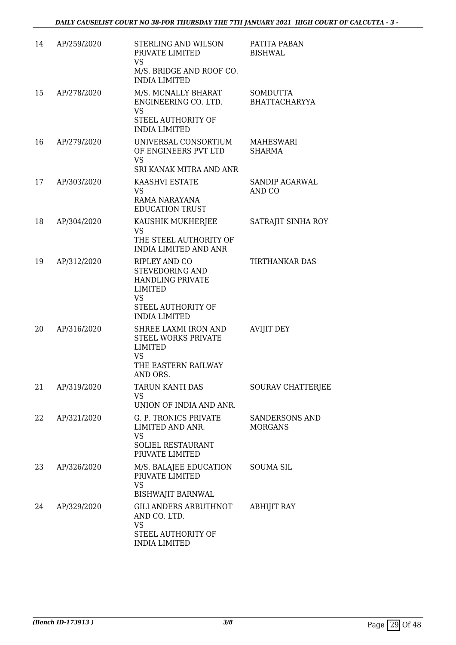| 14 | AP/259/2020 | STERLING AND WILSON<br>PRIVATE LIMITED<br><b>VS</b><br>M/S. BRIDGE AND ROOF CO.<br><b>INDIA LIMITED</b>                                  | PATITA PABAN<br><b>BISHWAL</b>          |
|----|-------------|------------------------------------------------------------------------------------------------------------------------------------------|-----------------------------------------|
| 15 | AP/278/2020 | M/S. MCNALLY BHARAT<br>ENGINEERING CO. LTD.<br><b>VS</b><br>STEEL AUTHORITY OF<br><b>INDIA LIMITED</b>                                   | <b>SOMDUTTA</b><br><b>BHATTACHARYYA</b> |
| 16 | AP/279/2020 | UNIVERSAL CONSORTIUM<br>OF ENGINEERS PVT LTD<br><b>VS</b><br>SRI KANAK MITRA AND ANR                                                     | <b>MAHESWARI</b><br><b>SHARMA</b>       |
| 17 | AP/303/2020 | KAASHVI ESTATE<br><b>VS</b><br>RAMA NARAYANA<br><b>EDUCATION TRUST</b>                                                                   | SANDIP AGARWAL<br>AND CO                |
| 18 | AP/304/2020 | KAUSHIK MUKHERJEE<br><b>VS</b><br>THE STEEL AUTHORITY OF<br><b>INDIA LIMITED AND ANR</b>                                                 | SATRAJIT SINHA ROY                      |
| 19 | AP/312/2020 | RIPLEY AND CO<br>STEVEDORING AND<br><b>HANDLING PRIVATE</b><br><b>LIMITED</b><br><b>VS</b><br>STEEL AUTHORITY OF<br><b>INDIA LIMITED</b> | <b>TIRTHANKAR DAS</b>                   |
| 20 | AP/316/2020 | SHREE LAXMI IRON AND<br><b>STEEL WORKS PRIVATE</b><br>LIMITED<br><b>VS</b><br>THE EASTERN RAILWAY<br>AND ORS.                            | <b>AVIJIT DEY</b>                       |
| 21 | AP/319/2020 | TARUN KANTI DAS<br><b>VS</b><br>UNION OF INDIA AND ANR.                                                                                  | SOURAV CHATTERJEE                       |
| 22 | AP/321/2020 | <b>G. P. TRONICS PRIVATE</b><br>LIMITED AND ANR.<br><b>VS</b><br><b>SOLIEL RESTAURANT</b><br>PRIVATE LIMITED                             | SANDERSONS AND<br><b>MORGANS</b>        |
| 23 | AP/326/2020 | M/S. BALAJEE EDUCATION<br>PRIVATE LIMITED<br><b>VS</b><br><b>BISHWAJIT BARNWAL</b>                                                       | <b>SOUMA SIL</b>                        |
| 24 | AP/329/2020 | GILLANDERS ARBUTHNOT<br>AND CO. LTD.<br><b>VS</b><br>STEEL AUTHORITY OF<br><b>INDIA LIMITED</b>                                          | <b>ABHIJIT RAY</b>                      |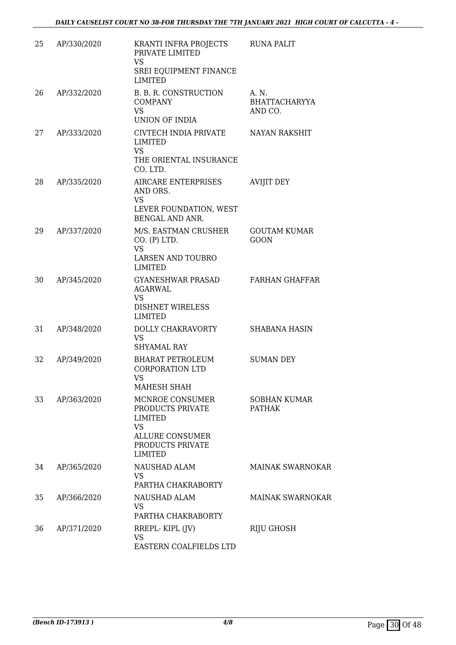| 25 | AP/330/2020 | KRANTI INFRA PROJECTS<br>PRIVATE LIMITED<br><b>VS</b><br>SREI EQUIPMENT FINANCE<br><b>LIMITED</b>                                  | <b>RUNA PALIT</b>                         |
|----|-------------|------------------------------------------------------------------------------------------------------------------------------------|-------------------------------------------|
| 26 | AP/332/2020 | B. B. R. CONSTRUCTION<br><b>COMPANY</b><br><b>VS</b><br><b>UNION OF INDIA</b>                                                      | $A \cdot N$ .<br>BHATTACHARYYA<br>AND CO. |
| 27 | AP/333/2020 | CIVTECH INDIA PRIVATE<br><b>LIMITED</b><br><b>VS</b><br>THE ORIENTAL INSURANCE<br>CO. LTD.                                         | <b>NAYAN RAKSHIT</b>                      |
| 28 | AP/335/2020 | AIRCARE ENTERPRISES<br>AND ORS.<br><b>VS</b><br>LEVER FOUNDATION, WEST<br><b>BENGAL AND ANR.</b>                                   | <b>AVIJIT DEY</b>                         |
| 29 | AP/337/2020 | M/S. EASTMAN CRUSHER<br>CO. (P) LTD.<br><b>VS</b><br><b>LARSEN AND TOUBRO</b><br><b>LIMITED</b>                                    | <b>GOUTAM KUMAR</b><br><b>GOON</b>        |
| 30 | AP/345/2020 | <b>GYANESHWAR PRASAD</b><br><b>AGARWAL</b><br><b>VS</b><br><b>DISHNET WIRELESS</b><br><b>LIMITED</b>                               | <b>FARHAN GHAFFAR</b>                     |
| 31 | AP/348/2020 | DOLLY CHAKRAVORTY<br><b>VS</b><br><b>SHYAMAL RAY</b>                                                                               | <b>SHABANA HASIN</b>                      |
| 32 | AP/349/2020 | <b>BHARAT PETROLEUM</b><br><b>CORPORATION LTD</b><br>VS<br>MAHESH SHAH                                                             | <b>SUMAN DEY</b>                          |
| 33 | AP/363/2020 | MCNROE CONSUMER<br>PRODUCTS PRIVATE<br><b>LIMITED</b><br><b>VS</b><br><b>ALLURE CONSUMER</b><br>PRODUCTS PRIVATE<br><b>LIMITED</b> | <b>SOBHAN KUMAR</b><br><b>PATHAK</b>      |
| 34 | AP/365/2020 | NAUSHAD ALAM<br><b>VS</b><br>PARTHA CHAKRABORTY                                                                                    | <b>MAINAK SWARNOKAR</b>                   |
| 35 | AP/366/2020 | NAUSHAD ALAM<br>VS.<br>PARTHA CHAKRABORTY                                                                                          | MAINAK SWARNOKAR                          |
| 36 | AP/371/2020 | RREPL-KIPL (JV)<br><b>VS</b><br>EASTERN COALFIELDS LTD                                                                             | <b>RIJU GHOSH</b>                         |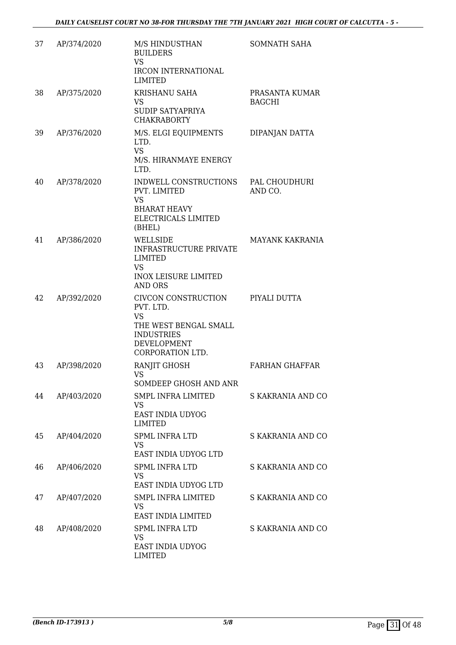| 37 | AP/374/2020 | M/S HINDUSTHAN<br><b>BUILDERS</b><br><b>VS</b><br>IRCON INTERNATIONAL<br><b>LIMITED</b>                                               | SOMNATH SAHA                    |
|----|-------------|---------------------------------------------------------------------------------------------------------------------------------------|---------------------------------|
| 38 | AP/375/2020 | <b>KRISHANU SAHA</b><br><b>VS</b><br>SUDIP SATYAPRIYA<br><b>CHAKRABORTY</b>                                                           | PRASANTA KUMAR<br><b>BAGCHI</b> |
| 39 | AP/376/2020 | M/S. ELGI EQUIPMENTS<br>LTD.<br><b>VS</b><br>M/S. HIRANMAYE ENERGY<br>LTD.                                                            | DIPANJAN DATTA                  |
| 40 | AP/378/2020 | INDWELL CONSTRUCTIONS<br>PVT. LIMITED<br><b>VS</b><br><b>BHARAT HEAVY</b><br>ELECTRICALS LIMITED<br>(BHEL)                            | PAL CHOUDHURI<br>AND CO.        |
| 41 | AP/386/2020 | WELLSIDE<br><b>INFRASTRUCTURE PRIVATE</b><br><b>LIMITED</b><br><b>VS</b><br><b>INOX LEISURE LIMITED</b><br><b>AND ORS</b>             | MAYANK KAKRANIA                 |
| 42 | AP/392/2020 | CIVCON CONSTRUCTION<br>PVT. LTD.<br><b>VS</b><br>THE WEST BENGAL SMALL<br><b>INDUSTRIES</b><br><b>DEVELOPMENT</b><br>CORPORATION LTD. | PIYALI DUTTA                    |
| 43 | AP/398/2020 | RANJIT GHOSH<br><b>VS</b><br>SOMDEEP GHOSH AND ANR                                                                                    | <b>FARHAN GHAFFAR</b>           |
| 44 | AP/403/2020 | <b>SMPL INFRA LIMITED</b><br><b>VS</b><br>EAST INDIA UDYOG<br><b>LIMITED</b>                                                          | S KAKRANIA AND CO               |
| 45 | AP/404/2020 | <b>SPML INFRA LTD</b><br><b>VS</b><br>EAST INDIA UDYOG LTD                                                                            | S KAKRANIA AND CO               |
| 46 | AP/406/2020 | <b>SPML INFRA LTD</b><br>VS<br>EAST INDIA UDYOG LTD                                                                                   | S KAKRANIA AND CO               |
| 47 | AP/407/2020 | <b>SMPL INFRA LIMITED</b><br><b>VS</b><br>EAST INDIA LIMITED                                                                          | S KAKRANIA AND CO               |
| 48 | AP/408/2020 | <b>SPML INFRA LTD</b><br><b>VS</b><br>EAST INDIA UDYOG<br><b>LIMITED</b>                                                              | S KAKRANIA AND CO               |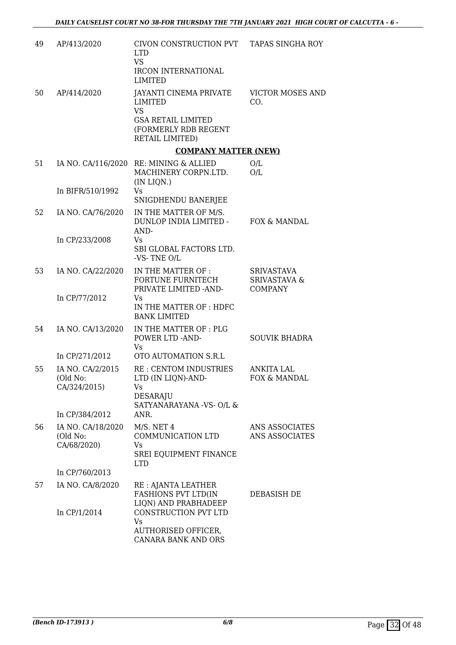| 49 | AP/413/2020                                  | CIVON CONSTRUCTION PVT<br><b>LTD</b><br><b>VS</b><br><b>IRCON INTERNATIONAL</b><br><b>LIMITED</b>                             | <b>TAPAS SINGHA ROY</b>                                        |
|----|----------------------------------------------|-------------------------------------------------------------------------------------------------------------------------------|----------------------------------------------------------------|
| 50 | AP/414/2020                                  | JAYANTI CINEMA PRIVATE<br><b>LIMITED</b><br><b>VS</b><br><b>GSA RETAIL LIMITED</b><br>(FORMERLY RDB REGENT<br>RETAIL LIMITED) | <b>VICTOR MOSES AND</b><br>CO.                                 |
|    |                                              | <b>COMPANY MATTER (NEW)</b>                                                                                                   |                                                                |
| 51 |                                              | IA NO. CA/116/2020 RE: MINING & ALLIED<br>MACHINERY CORPN.LTD.<br>(IN LIQN.)                                                  | O/L<br>O/L                                                     |
|    | In BIFR/510/1992                             | Vs<br>SNIGDHENDU BANERJEE                                                                                                     |                                                                |
| 52 | IA NO. CA/76/2020                            | IN THE MATTER OF M/S.<br>DUNLOP INDIA LIMITED -<br>AND-                                                                       | FOX & MANDAL                                                   |
|    | In CP/233/2008                               | Vs<br>SBI GLOBAL FACTORS LTD.<br>-VS-TNE O/L                                                                                  |                                                                |
| 53 | IA NO. CA/22/2020                            | IN THE MATTER OF :<br>FORTUNE FURNITECH<br>PRIVATE LIMITED -AND-                                                              | <b>SRIVASTAVA</b><br><b>SRIVASTAVA &amp;</b><br><b>COMPANY</b> |
|    | In CP/77/2012                                | Vs<br>IN THE MATTER OF: HDFC<br><b>BANK LIMITED</b>                                                                           |                                                                |
| 54 | IA NO. CA/13/2020                            | IN THE MATTER OF: PLG<br>POWER LTD -AND-<br>Vs                                                                                | <b>SOUVIK BHADRA</b>                                           |
|    | In CP/271/2012                               | OTO AUTOMATION S.R.L                                                                                                          |                                                                |
| 55 | IA NO. CA/2/2015<br>(Old No:<br>CA/324/2015) | RE: CENTOM INDUSTRIES<br>LTD (IN LIQN)-AND-<br>Vs<br><b>DESARAJU</b><br>SATYANARAYANA -VS- O/L &                              | ANKITA LAL<br>FOX & MANDAL                                     |
|    | In CP/384/2012                               | ANR.                                                                                                                          |                                                                |
| 56 | IA NO. CA/18/2020<br>(Old No:<br>CA/68/2020) | M/S. NET 4<br>COMMUNICATION LTD<br>Vs<br>SREI EQUIPMENT FINANCE<br><b>LTD</b>                                                 | ANS ASSOCIATES<br>ANS ASSOCIATES                               |
|    | In CP/760/2013                               |                                                                                                                               |                                                                |
| 57 | IA NO. CA/8/2020                             | RE : AJANTA LEATHER<br><b>FASHIONS PVT LTD(IN</b><br>LIQN) AND PRABHADEEP                                                     | DEBASISH DE                                                    |
|    | In CP/1/2014                                 | CONSTRUCTION PVT LTD<br>Vs<br>AUTHORISED OFFICER,<br>CANARA BANK AND ORS                                                      |                                                                |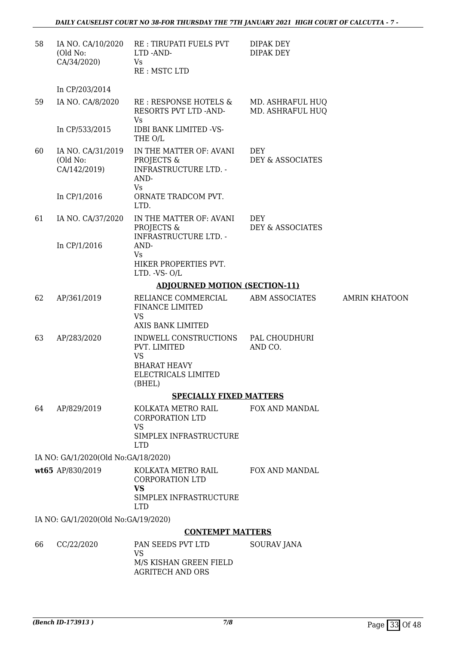| 58 | IA NO. CA/10/2020<br>(Old No:<br>CA/34/2020)  | RE: TIRUPATI FUELS PVT<br>LTD-AND-<br>Vs<br>RE: MSTC LTD                                                   | DIPAK DEY<br><b>DIPAK DEY</b>        |                      |
|----|-----------------------------------------------|------------------------------------------------------------------------------------------------------------|--------------------------------------|----------------------|
|    | In CP/203/2014                                |                                                                                                            |                                      |                      |
| 59 | IA NO. CA/8/2020                              | RE : RESPONSE HOTELS &<br>RESORTS PVT LTD -AND-<br>Vs                                                      | MD. ASHRAFUL HUQ<br>MD. ASHRAFUL HUQ |                      |
|    | In CP/533/2015                                | <b>IDBI BANK LIMITED -VS-</b><br>THE O/L                                                                   |                                      |                      |
| 60 | IA NO. CA/31/2019<br>(Old No:<br>CA/142/2019) | IN THE MATTER OF: AVANI<br>PROJECTS &<br><b>INFRASTRUCTURE LTD. -</b><br>AND-<br><b>Vs</b>                 | DEY<br>DEY & ASSOCIATES              |                      |
|    | In CP/1/2016                                  | ORNATE TRADCOM PVT.<br>LTD.                                                                                |                                      |                      |
| 61 | IA NO. CA/37/2020                             | IN THE MATTER OF: AVANI<br>PROJECTS &<br><b>INFRASTRUCTURE LTD. -</b>                                      | <b>DEY</b><br>DEY & ASSOCIATES       |                      |
|    | In CP/1/2016                                  | AND-<br><b>Vs</b><br>HIKER PROPERTIES PVT.<br>LTD. -VS-O/L                                                 |                                      |                      |
|    |                                               | <b>ADJOURNED MOTION (SECTION-11)</b>                                                                       |                                      |                      |
| 62 | AP/361/2019                                   | RELIANCE COMMERCIAL<br><b>FINANCE LIMITED</b><br><b>VS</b><br>AXIS BANK LIMITED                            | <b>ABM ASSOCIATES</b>                | <b>AMRIN KHATOON</b> |
| 63 | AP/283/2020                                   | INDWELL CONSTRUCTIONS<br>PVT. LIMITED<br><b>VS</b><br><b>BHARAT HEAVY</b><br>ELECTRICALS LIMITED<br>(BHEL) | PAL CHOUDHURI<br>AND CO.             |                      |
|    |                                               | <b>SPECIALLY FIXED MATTERS</b>                                                                             |                                      |                      |
| 64 | AP/829/2019                                   | KOLKATA METRO RAIL<br><b>CORPORATION LTD</b><br><b>VS</b><br>SIMPLEX INFRASTRUCTURE<br><b>LTD</b>          | <b>FOX AND MANDAL</b>                |                      |
|    | IA NO: GA/1/2020(Old No:GA/18/2020)           |                                                                                                            |                                      |                      |
|    | wt65 AP/830/2019                              | KOLKATA METRO RAIL<br><b>CORPORATION LTD</b><br><b>VS</b><br>SIMPLEX INFRASTRUCTURE<br><b>LTD</b>          | <b>FOX AND MANDAL</b>                |                      |
|    | IA NO: GA/1/2020(Old No:GA/19/2020)           |                                                                                                            |                                      |                      |
|    |                                               | <b>CONTEMPT MATTERS</b>                                                                                    |                                      |                      |
| 66 | CC/22/2020                                    | PAN SEEDS PVT LTD<br><b>VS</b><br>M/S KISHAN GREEN FIELD<br><b>AGRITECH AND ORS</b>                        | SOURAV JANA                          |                      |
|    |                                               |                                                                                                            |                                      |                      |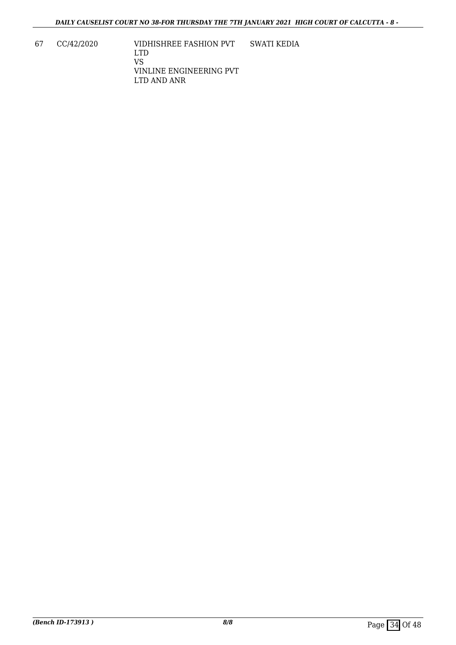67 CC/42/2020 VIDHISHREE FASHION PVT LTD VS VINLINE ENGINEERING PVT LTD AND ANR SWATI KEDIA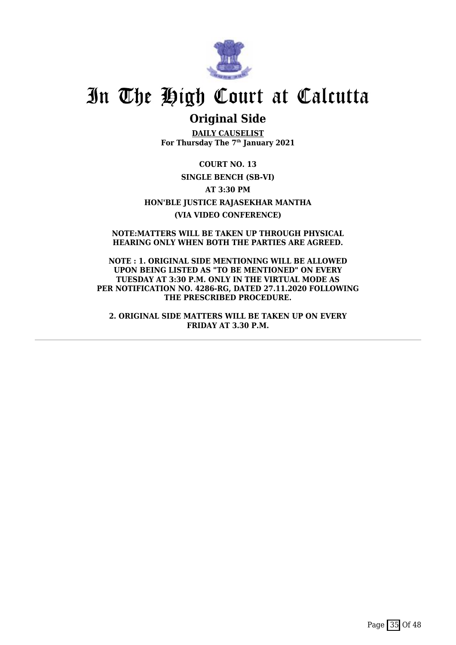

# **Original Side**

**DAILY CAUSELIST For Thursday The 7th January 2021**

**COURT NO. 13 SINGLE BENCH (SB-VI) AT 3:30 PM HON'BLE JUSTICE RAJASEKHAR MANTHA (VIA VIDEO CONFERENCE)**

**NOTE:MATTERS WILL BE TAKEN UP THROUGH PHYSICAL HEARING ONLY WHEN BOTH THE PARTIES ARE AGREED.**

**NOTE : 1. ORIGINAL SIDE MENTIONING WILL BE ALLOWED UPON BEING LISTED AS "TO BE MENTIONED" ON EVERY TUESDAY AT 3:30 P.M. ONLY IN THE VIRTUAL MODE AS PER NOTIFICATION NO. 4286-RG, DATED 27.11.2020 FOLLOWING THE PRESCRIBED PROCEDURE.**

**2. ORIGINAL SIDE MATTERS WILL BE TAKEN UP ON EVERY FRIDAY AT 3.30 P.M.**

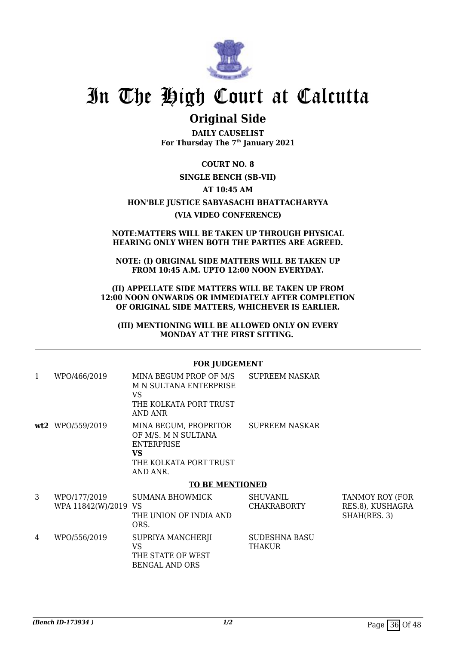

# **Original Side**

**DAILY CAUSELIST For Thursday The 7th January 2021**

**COURT NO. 8 SINGLE BENCH (SB-VII) AT 10:45 AM HON'BLE JUSTICE SABYASACHI BHATTACHARYYA (VIA VIDEO CONFERENCE)**

#### **NOTE:MATTERS WILL BE TAKEN UP THROUGH PHYSICAL HEARING ONLY WHEN BOTH THE PARTIES ARE AGREED.**

**NOTE: (I) ORIGINAL SIDE MATTERS WILL BE TAKEN UP FROM 10:45 A.M. UPTO 12:00 NOON EVERYDAY.**

**(II) APPELLATE SIDE MATTERS WILL BE TAKEN UP FROM 12:00 NOON ONWARDS OR IMMEDIATELY AFTER COMPLETION OF ORIGINAL SIDE MATTERS, WHICHEVER IS EARLIER.**

**(III) MENTIONING WILL BE ALLOWED ONLY ON EVERY MONDAY AT THE FIRST SITTING.** 

### **FOR JUDGEMENT**

| 1 | WPO/466/2019                         | MINA BEGUM PROP OF M/S<br>M N SULTANA ENTERPRISE<br>VS<br>THE KOLKATA PORT TRUST<br>AND ANR                          | <b>SUPREEM NASKAR</b>                 |                                                     |
|---|--------------------------------------|----------------------------------------------------------------------------------------------------------------------|---------------------------------------|-----------------------------------------------------|
|   | wt2 WPO/559/2019                     | MINA BEGUM, PROPRITOR<br>OF M/S. M N SULTANA<br><b>ENTERPRISE</b><br><b>VS</b><br>THE KOLKATA PORT TRUST<br>AND ANR. | <b>SUPREEM NASKAR</b>                 |                                                     |
|   |                                      | <b>TO BE MENTIONED</b>                                                                                               |                                       |                                                     |
| 3 | WPO/177/2019<br>WPA 11842(W)/2019 VS | <b>SUMANA BHOWMICK</b><br>THE UNION OF INDIA AND<br>ORS.                                                             | <b>SHUVANIL</b><br><b>CHAKRABORTY</b> | TANMOY ROY (FOR<br>RES.8), KUSHAGRA<br>SHAH(RES. 3) |
| 4 | WPO/556/2019                         | SUPRIYA MANCHERJI<br><b>VS</b><br>THE STATE OF WEST<br><b>BENGAL AND ORS</b>                                         | <b>SUDESHNA BASU</b><br>THAKUR        |                                                     |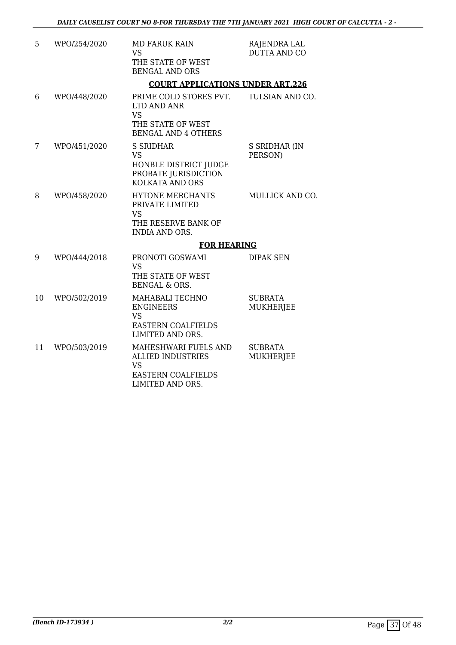| 5  | WPO/254/2020 | <b>MD FARUK RAIN</b><br><b>VS</b><br>THE STATE OF WEST<br><b>BENGAL AND ORS</b>                          | RAJENDRA LAL<br><b>DUTTA AND CO</b> |
|----|--------------|----------------------------------------------------------------------------------------------------------|-------------------------------------|
|    |              | <b>COURT APPLICATIONS UNDER ART.226</b>                                                                  |                                     |
| 6  | WPO/448/2020 | PRIME COLD STORES PVT.<br>LTD AND ANR<br><b>VS</b><br>THE STATE OF WEST<br><b>BENGAL AND 4 OTHERS</b>    | TULSIAN AND CO.                     |
| 7  | WPO/451/2020 | <b>S SRIDHAR</b><br><b>VS</b><br>HONBLE DISTRICT JUDGE<br>PROBATE JURISDICTION<br><b>KOLKATA AND ORS</b> | S SRIDHAR (IN<br>PERSON)            |
| 8  | WPO/458/2020 | HYTONE MERCHANTS<br>PRIVATE LIMITED<br><b>VS</b><br>THE RESERVE BANK OF<br><b>INDIA AND ORS.</b>         | MULLICK AND CO.                     |
|    |              | <b>FOR HEARING</b>                                                                                       |                                     |
| 9  | WPO/444/2018 | PRONOTI GOSWAMI<br><b>VS</b><br>THE STATE OF WEST<br><b>BENGAL &amp; ORS.</b>                            | <b>DIPAK SEN</b>                    |
| 10 | WPO/502/2019 | MAHABALI TECHNO<br><b>ENGINEERS</b><br><b>VS</b><br><b>EASTERN COALFIELDS</b><br>LIMITED AND ORS.        | <b>SUBRATA</b><br>MUKHERJEE         |
| 11 | WPO/503/2019 | MAHESHWARI FUELS AND<br><b>ALLIED INDUSTRIES</b><br><b>VS</b><br>EASTERN COALFIELDS<br>LIMITED AND ORS.  | <b>SUBRATA</b><br>MUKHERJEE         |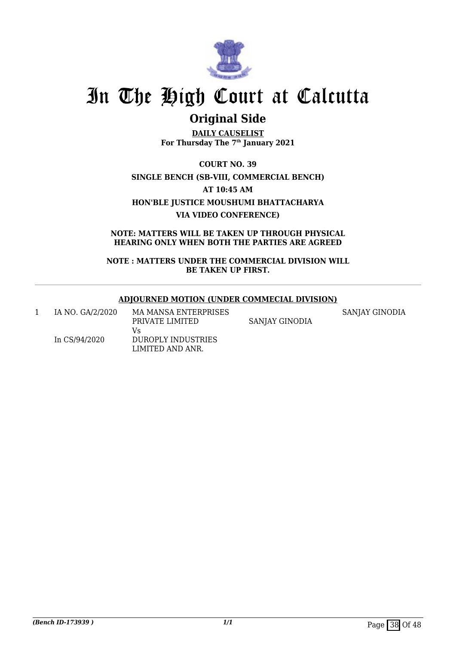

# **Original Side**

**DAILY CAUSELIST For Thursday The 7th January 2021**

**COURT NO. 39 SINGLE BENCH (SB-VIII, COMMERCIAL BENCH) AT 10:45 AM HON'BLE JUSTICE MOUSHUMI BHATTACHARYA VIA VIDEO CONFERENCE)**

**NOTE: MATTERS WILL BE TAKEN UP THROUGH PHYSICAL HEARING ONLY WHEN BOTH THE PARTIES ARE AGREED**

**NOTE : MATTERS UNDER THE COMMERCIAL DIVISION WILL BE TAKEN UP FIRST.**

## **ADJOURNED MOTION (UNDER COMMECIAL DIVISION)**

| IA NO. GA/2/2020 | <b>MA MANSA ENTERPRISES</b> |                | SANJAY GINODIA |
|------------------|-----------------------------|----------------|----------------|
|                  | PRIVATE LIMITED             | SANJAY GINODIA |                |
|                  | Vs                          |                |                |
| In CS/94/2020    | DUROPLY INDUSTRIES          |                |                |
|                  | LIMITED AND ANR.            |                |                |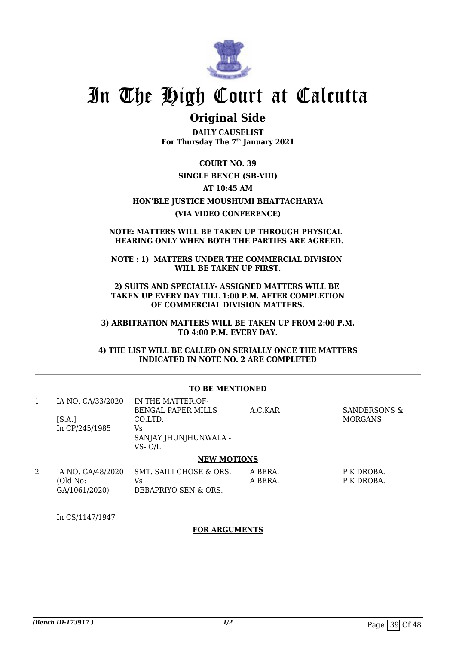

# **Original Side**

**DAILY CAUSELIST For Thursday The 7th January 2021**

**COURT NO. 39**

## **SINGLE BENCH (SB-VIII)**

### **AT 10:45 AM**

# **HON'BLE JUSTICE MOUSHUMI BHATTACHARYA**

## **(VIA VIDEO CONFERENCE)**

#### **NOTE: MATTERS WILL BE TAKEN UP THROUGH PHYSICAL HEARING ONLY WHEN BOTH THE PARTIES ARE AGREED.**

### **NOTE : 1) MATTERS UNDER THE COMMERCIAL DIVISION WILL BE TAKEN UP FIRST.**

### **2) SUITS AND SPECIALLY- ASSIGNED MATTERS WILL BE TAKEN UP EVERY DAY TILL 1:00 P.M. AFTER COMPLETION OF COMMERCIAL DIVISION MATTERS.**

**3) ARBITRATION MATTERS WILL BE TAKEN UP FROM 2:00 P.M. TO 4:00 P.M. EVERY DAY.**

**4) THE LIST WILL BE CALLED ON SERIALLY ONCE THE MATTERS INDICATED IN NOTE NO. 2 ARE COMPLETED**

### **TO BE MENTIONED**

| 1 | IA NO. CA/33/2020                              | IN THE MATTER OF-<br><b>BENGAL PAPER MILLS</b>        | A.C.KAR            | SANDERSONS &             |
|---|------------------------------------------------|-------------------------------------------------------|--------------------|--------------------------|
|   | [S.A.]<br>In CP/245/1985                       | CO.LTD.<br>Vs<br>SANJAY JHUNJHUNWALA -<br>VS-O/L      |                    | <b>MORGANS</b>           |
|   |                                                | <b>NEW MOTIONS</b>                                    |                    |                          |
| 2 | IA NO. GA/48/2020<br>(Old No:<br>GA/1061/2020) | SMT. SAILI GHOSE & ORS.<br>Vs<br>DEBAPRIYO SEN & ORS. | A BERA.<br>A BERA. | P K DROBA.<br>P K DROBA. |

In CS/1147/1947

### **FOR ARGUMENTS**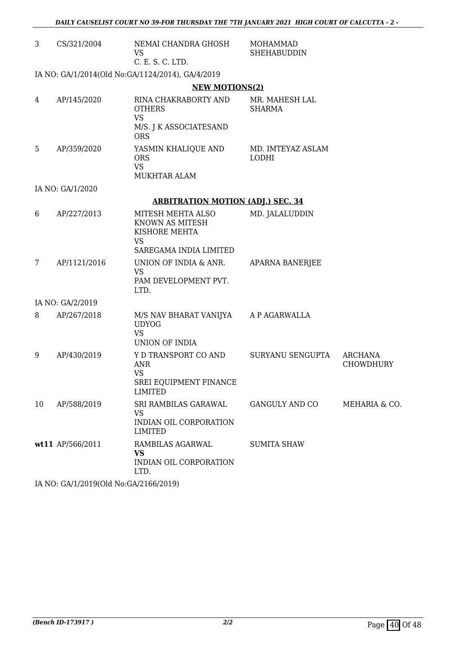| 3  | CS/321/2004                           | NEMAI CHANDRA GHOSH<br><b>VS</b><br>C. E. S. C. LTD.                                        | <b>MOHAMMAD</b><br><b>SHEHABUDDIN</b> |                                    |
|----|---------------------------------------|---------------------------------------------------------------------------------------------|---------------------------------------|------------------------------------|
|    |                                       | IA NO: GA/1/2014(Old No:GA/1124/2014), GA/4/2019                                            |                                       |                                    |
|    |                                       | <b>NEW MOTIONS(2)</b>                                                                       |                                       |                                    |
| 4  | AP/145/2020                           | RINA CHAKRABORTY AND<br><b>OTHERS</b><br><b>VS</b>                                          | MR. MAHESH LAL<br><b>SHARMA</b>       |                                    |
|    |                                       | M/S. J K ASSOCIATESAND<br><b>ORS</b>                                                        |                                       |                                    |
| 5  | AP/359/2020                           | YASMIN KHALIQUE AND<br><b>ORS</b><br><b>VS</b><br>MUKHTAR ALAM                              | MD. IMTEYAZ ASLAM<br><b>LODHI</b>     |                                    |
|    | IA NO: GA/1/2020                      |                                                                                             |                                       |                                    |
|    |                                       | <b>ARBITRATION MOTION (ADJ.) SEC. 34</b>                                                    |                                       |                                    |
| 6  | AP/227/2013                           | MITESH MEHTA ALSO<br>KNOWN AS MITESH<br>KISHORE MEHTA<br><b>VS</b>                          | MD. JALALUDDIN                        |                                    |
|    |                                       | SAREGAMA INDIA LIMITED                                                                      |                                       |                                    |
| 7  | AP/1121/2016                          | UNION OF INDIA & ANR.<br><b>VS</b><br>PAM DEVELOPMENT PVT.<br>LTD.                          | APARNA BANERJEE                       |                                    |
|    | IA NO: GA/2/2019                      |                                                                                             |                                       |                                    |
| 8  | AP/267/2018                           | M/S NAV BHARAT VANIJYA A P AGARWALLA<br><b>UDYOG</b><br><b>VS</b><br>UNION OF INDIA         |                                       |                                    |
| 9  | AP/430/2019                           | Y D TRANSPORT CO AND<br><b>ANR</b><br><b>VS</b><br>SREI EQUIPMENT FINANCE<br><b>LIMITED</b> | SURYANU SENGUPTA                      | <b>ARCHANA</b><br><b>CHOWDHURY</b> |
| 10 | AP/588/2019                           | SRI RAMBILAS GARAWAL<br><b>VS</b><br>INDIAN OIL CORPORATION<br><b>LIMITED</b>               | <b>GANGULY AND CO</b>                 | MEHARIA & CO.                      |
|    | wt11 AP/566/2011                      | RAMBILAS AGARWAL<br><b>VS</b><br>INDIAN OIL CORPORATION<br>LTD.                             | <b>SUMITA SHAW</b>                    |                                    |
|    | IA NO: GA/1/2019(Old No:GA/2166/2019) |                                                                                             |                                       |                                    |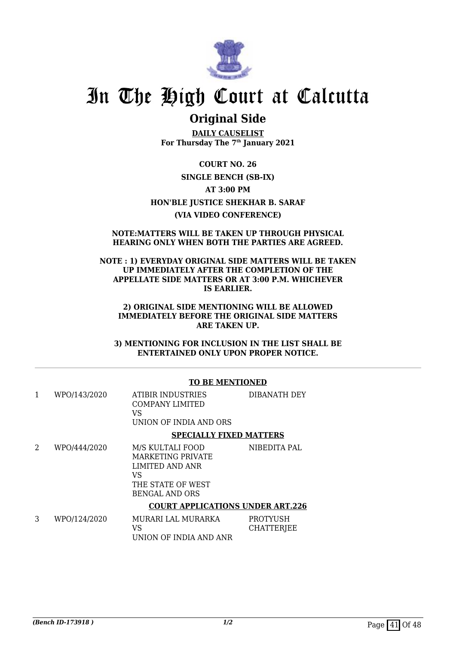

# **Original Side**

**DAILY CAUSELIST For Thursday The 7th January 2021**

**COURT NO. 26 SINGLE BENCH (SB-IX) AT 3:00 PM HON'BLE JUSTICE SHEKHAR B. SARAF (VIA VIDEO CONFERENCE)**

### **NOTE:MATTERS WILL BE TAKEN UP THROUGH PHYSICAL HEARING ONLY WHEN BOTH THE PARTIES ARE AGREED.**

### **NOTE : 1) EVERYDAY ORIGINAL SIDE MATTERS WILL BE TAKEN UP IMMEDIATELY AFTER THE COMPLETION OF THE APPELLATE SIDE MATTERS OR AT 3:00 P.M. WHICHEVER IS EARLIER.**

### **2) ORIGINAL SIDE MENTIONING WILL BE ALLOWED IMMEDIATELY BEFORE THE ORIGINAL SIDE MATTERS ARE TAKEN UP.**

**3) MENTIONING FOR INCLUSION IN THE LIST SHALL BE ENTERTAINED ONLY UPON PROPER NOTICE.**

### **TO BE MENTIONED**

|   | WPO/143/2020          | ATIBIR INDUSTRIES<br>COMPANY LIMITED<br>VS<br>UNION OF INDIA AND ORS | DIBANATH DEY                   |
|---|-----------------------|----------------------------------------------------------------------|--------------------------------|
|   |                       |                                                                      | <b>SPECIALLY FIXED MATTERS</b> |
| n | 117 DO 14 4 4 19 DO 0 | MO VIII TALL POOD                                                    | זות והתחחדו                    |

| WPO/444/2020 | M/S KULTALI FOOD  | NIBEDITA PAL |
|--------------|-------------------|--------------|
|              | MARKETING PRIVATE |              |
|              | LIMITED AND ANR   |              |
|              | VS                |              |
|              | THE STATE OF WEST |              |
|              | BENGAL AND ORS    |              |
|              |                   |              |

### **COURT APPLICATIONS UNDER ART.226**

| WPO/124/2020 | MURARI LAL MURARKA     | PROTYUSH   |
|--------------|------------------------|------------|
|              | VS.                    | CHATTERJEE |
|              | UNION OF INDIA AND ANR |            |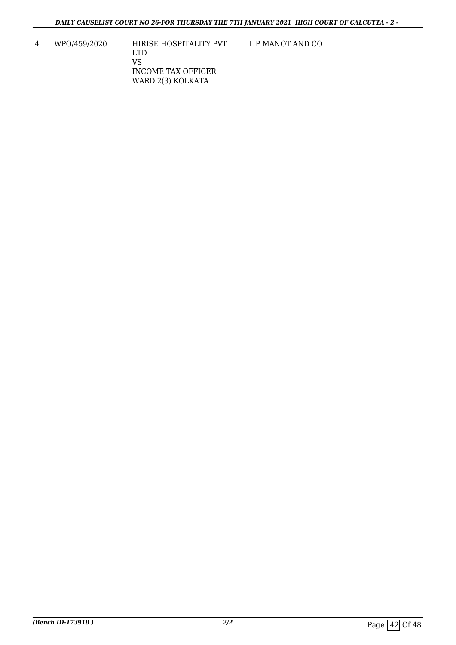L P MANOT AND CO

4 WPO/459/2020 HIRISE HOSPITALITY PVT LTD VS INCOME TAX OFFICER WARD 2(3) KOLKATA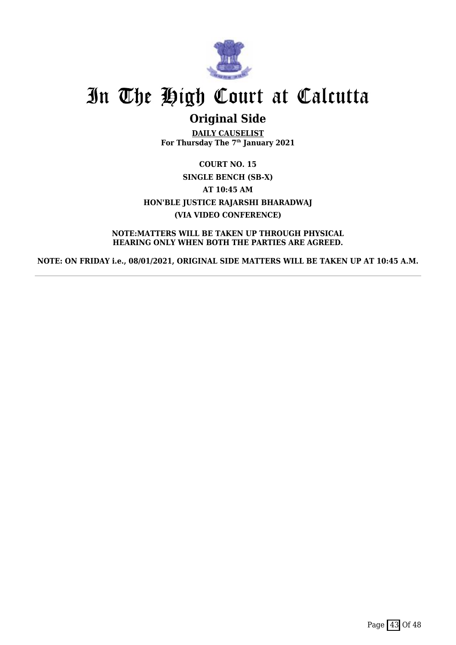

# **Original Side**

**DAILY CAUSELIST For Thursday The 7th January 2021**

**COURT NO. 15 SINGLE BENCH (SB-X) AT 10:45 AM HON'BLE JUSTICE RAJARSHI BHARADWAJ (VIA VIDEO CONFERENCE)**

**NOTE:MATTERS WILL BE TAKEN UP THROUGH PHYSICAL HEARING ONLY WHEN BOTH THE PARTIES ARE AGREED.**

**NOTE: ON FRIDAY i.e., 08/01/2021, ORIGINAL SIDE MATTERS WILL BE TAKEN UP AT 10:45 A.M.**

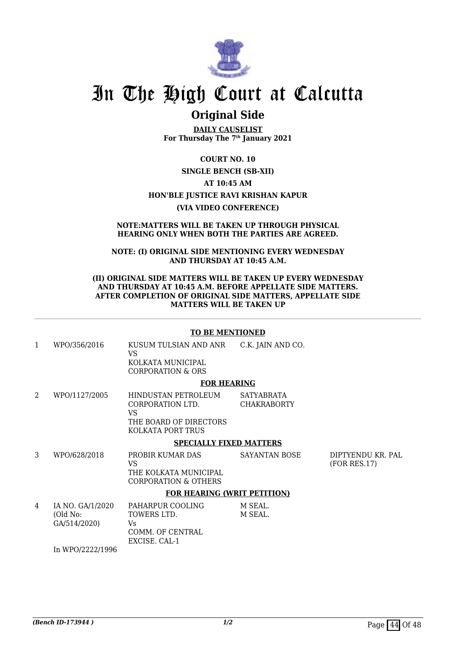

# **Original Side**

**DAILY CAUSELIST For Thursday The 7th January 2021**

**COURT NO. 10**

**SINGLE BENCH (SB-XII)**

**AT 10:45 AM**

## **HON'BLE JUSTICE RAVI KRISHAN KAPUR**

**(VIA VIDEO CONFERENCE)**

#### **NOTE:MATTERS WILL BE TAKEN UP THROUGH PHYSICAL HEARING ONLY WHEN BOTH THE PARTIES ARE AGREED.**

**NOTE: (I) ORIGINAL SIDE MENTIONING EVERY WEDNESDAY AND THURSDAY AT 10:45 A.M.**

#### **(II) ORIGINAL SIDE MATTERS WILL BE TAKEN UP EVERY WEDNESDAY AND THURSDAY AT 10:45 A.M. BEFORE APPELLATE SIDE MATTERS. AFTER COMPLETION OF ORIGINAL SIDE MATTERS, APPELLATE SIDE MATTERS WILL BE TAKEN UP**

### **TO BE MENTIONED**

| 1 | WPO/356/2016     | KUSUM TULSIAN AND ANR<br>VS<br>KOLKATA MUNICIPAL<br>CORPORATION & ORS                        | C.K. JAIN AND CO.                |
|---|------------------|----------------------------------------------------------------------------------------------|----------------------------------|
|   |                  | <b>FOR HEARING</b>                                                                           |                                  |
| 2 | WPO/1127/2005    | HINDUSTAN PETROLEUM<br>CORPORATION LTD.<br>VS<br>THE BOARD OF DIRECTORS<br>KOLKATA PORT TRUS | SATYABRATA<br><b>CHAKRABORTY</b> |
|   |                  | <b>SPECIALLY FIXED MATTERS</b>                                                               |                                  |
| 3 | WPO/628/2018     | PROBIR KUMAR DAS<br>VS.<br>THE KOLKATA MUNICIPAL<br>CORPORATION & OTHERS                     | <b>SAYANTAN BOSE</b>             |
|   |                  | <b>FOR HEARING (WRIT PETITION)</b>                                                           |                                  |
| 4 | IA NO. GA/1/2020 | PAHARPUR COOLING                                                                             | M SEAL.                          |

| IA NO. GA/1/2020 | PAHARPUR COOLING | M SEAL. |
|------------------|------------------|---------|
| (Old No:         | TOWERS LTD.      | M SEAL. |
| GA/514/2020)     | Vs               |         |
|                  | COMM. OF CENTRAL |         |
|                  | EXCISE, CAL-1    |         |
| In WPO/2222/1996 |                  |         |

**(Bench ID-173944 )** 1/2 Page 44 Of 48

DIPTYENDU KR. PAL

(FOR RES.17)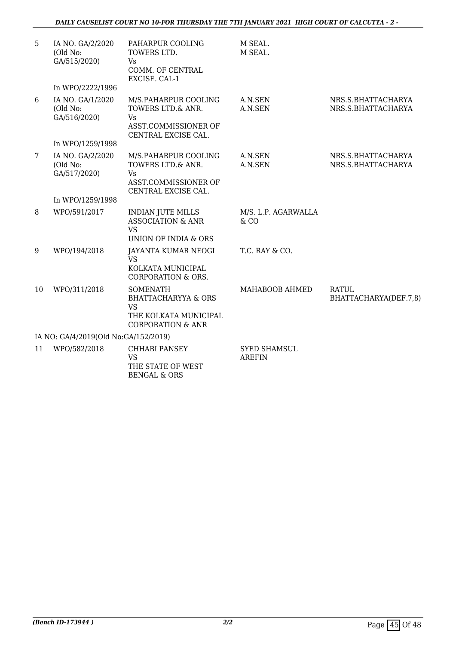| 5               | IA NO. GA/2/2020<br>(Old No:<br>GA/515/2020) | PAHARPUR COOLING<br>TOWERS LTD.<br>Vs.<br>COMM. OF CENTRAL            | M SEAL.<br>M SEAL.                   |                                          |
|-----------------|----------------------------------------------|-----------------------------------------------------------------------|--------------------------------------|------------------------------------------|
|                 | In WPO/2222/1996                             | EXCISE. CAL-1                                                         |                                      |                                          |
| 6               | IA NO. GA/1/2020                             | M/S.PAHARPUR COOLING                                                  | A.N.SEN                              | NRS.S.BHATTACHARYA                       |
|                 | (Old No:<br>GA/516/2020)                     | TOWERS LTD.& ANR.<br>Vs.                                              | A.N.SEN                              | NRS.S.BHATTACHARYA                       |
|                 |                                              | ASST.COMMISSIONER OF<br>CENTRAL EXCISE CAL.                           |                                      |                                          |
|                 | In WPO/1259/1998                             |                                                                       |                                      |                                          |
| $7\overline{ }$ | IA NO. GA/2/2020<br>(Old No:<br>GA/517/2020) | M/S.PAHARPUR COOLING<br>TOWERS LTD.& ANR.<br>Vs.                      | A.N.SEN<br>A.N.SEN                   | NRS.S.BHATTACHARYA<br>NRS.S.BHATTACHARYA |
|                 |                                              | ASST.COMMISSIONER OF<br>CENTRAL EXCISE CAL.                           |                                      |                                          |
|                 | In WPO/1259/1998                             |                                                                       |                                      |                                          |
| 8               | WPO/591/2017                                 | <b>INDIAN JUTE MILLS</b><br><b>ASSOCIATION &amp; ANR</b><br><b>VS</b> | M/S. L.P. AGARWALLA<br>& CO          |                                          |
|                 |                                              | <b>UNION OF INDIA &amp; ORS</b>                                       |                                      |                                          |
| 9               | WPO/194/2018                                 | JAYANTA KUMAR NEOGI<br><b>VS</b><br>KOLKATA MUNICIPAL                 | T.C. RAY & CO.                       |                                          |
|                 |                                              | <b>CORPORATION &amp; ORS.</b>                                         |                                      |                                          |
| 10              | WPO/311/2018                                 | <b>SOMENATH</b><br><b>BHATTACHARYYA &amp; ORS</b><br><b>VS</b>        | MAHABOOB AHMED                       | <b>RATUL</b><br>BHATTACHARYA(DEF.7,8)    |
|                 |                                              | THE KOLKATA MUNICIPAL<br><b>CORPORATION &amp; ANR</b>                 |                                      |                                          |
|                 | IA NO: GA/4/2019(Old No:GA/152/2019)         |                                                                       |                                      |                                          |
| 11              | WPO/582/2018                                 | <b>CHHABI PANSEY</b><br><b>VS</b><br>THE STATE OF WEST                | <b>SYED SHAMSUL</b><br><b>AREFIN</b> |                                          |

BENGAL & ORS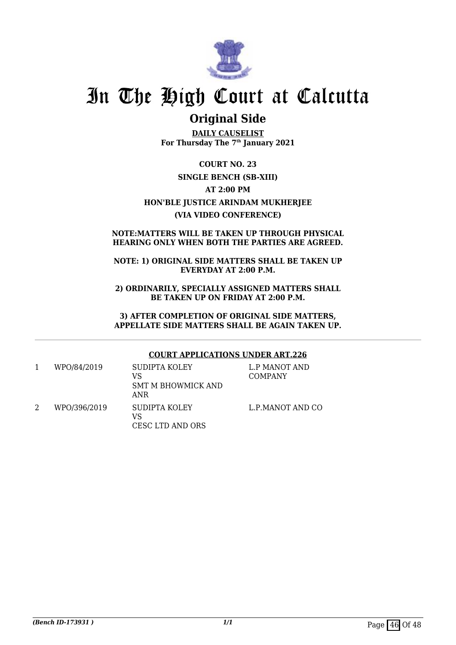

# **Original Side**

**DAILY CAUSELIST For Thursday The 7th January 2021**

**COURT NO. 23 SINGLE BENCH (SB-XIII) AT 2:00 PM HON'BLE JUSTICE ARINDAM MUKHERJEE (VIA VIDEO CONFERENCE)**

## **NOTE:MATTERS WILL BE TAKEN UP THROUGH PHYSICAL HEARING ONLY WHEN BOTH THE PARTIES ARE AGREED.**

## **NOTE: 1) ORIGINAL SIDE MATTERS SHALL BE TAKEN UP EVERYDAY AT 2:00 P.M.**

**2) ORDINARILY, SPECIALLY ASSIGNED MATTERS SHALL BE TAKEN UP ON FRIDAY AT 2:00 P.M.**

**3) AFTER COMPLETION OF ORIGINAL SIDE MATTERS, APPELLATE SIDE MATTERS SHALL BE AGAIN TAKEN UP.**

## **COURT APPLICATIONS UNDER ART.226**

| WPO/84/2019  | SUDIPTA KOLEY      | L.P MANOT AND    |
|--------------|--------------------|------------------|
|              | VS                 | <b>COMPANY</b>   |
|              | SMT M BHOWMICK AND |                  |
|              | ANR                |                  |
| WPO/396/2019 | SUDIPTA KOLEY      | L.P.MANOT AND CO |
|              | VS                 |                  |
|              | CESC LTD AND ORS   |                  |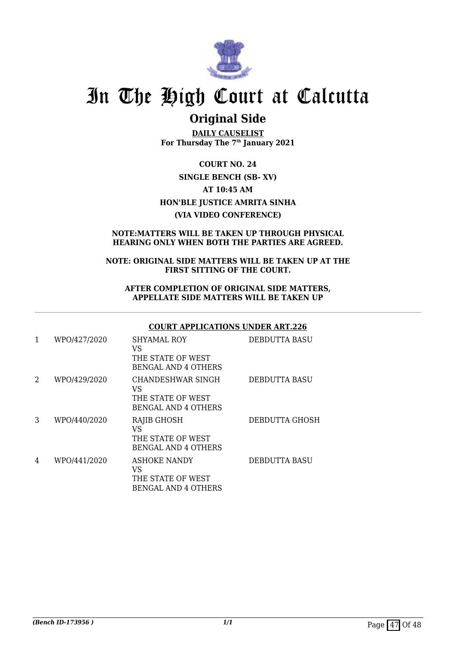

# **Original Side**

**DAILY CAUSELIST For Thursday The 7th January 2021**

**COURT NO. 24 SINGLE BENCH (SB- XV) AT 10:45 AM HON'BLE JUSTICE AMRITA SINHA (VIA VIDEO CONFERENCE)**

## **NOTE:MATTERS WILL BE TAKEN UP THROUGH PHYSICAL HEARING ONLY WHEN BOTH THE PARTIES ARE AGREED.**

### **NOTE: ORIGINAL SIDE MATTERS WILL BE TAKEN UP AT THE FIRST SITTING OF THE COURT.**

### **AFTER COMPLETION OF ORIGINAL SIDE MATTERS, APPELLATE SIDE MATTERS WILL BE TAKEN UP**

## **COURT APPLICATIONS UNDER ART.226**

| 1 | WPO/427/2020 | <b>SHYAMAL ROY</b><br>VS<br>THE STATE OF WEST<br><b>BENGAL AND 4 OTHERS</b>  | <b>DEBDUTTA BASU</b> |
|---|--------------|------------------------------------------------------------------------------|----------------------|
| 2 | WPO/429/2020 | CHANDESHWAR SINGH<br>VS<br>THE STATE OF WEST<br><b>BENGAL AND 4 OTHERS</b>   | <b>DEBDUTTA BASU</b> |
| 3 | WPO/440/2020 | <b>RAJIB GHOSH</b><br>VS<br>THE STATE OF WEST<br><b>BENGAL AND 4 OTHERS</b>  | DEBDUTTA GHOSH       |
| 4 | WPO/441/2020 | <b>ASHOKE NANDY</b><br>VS<br>THE STATE OF WEST<br><b>BENGAL AND 4 OTHERS</b> | <b>DEBDUTTA BASU</b> |